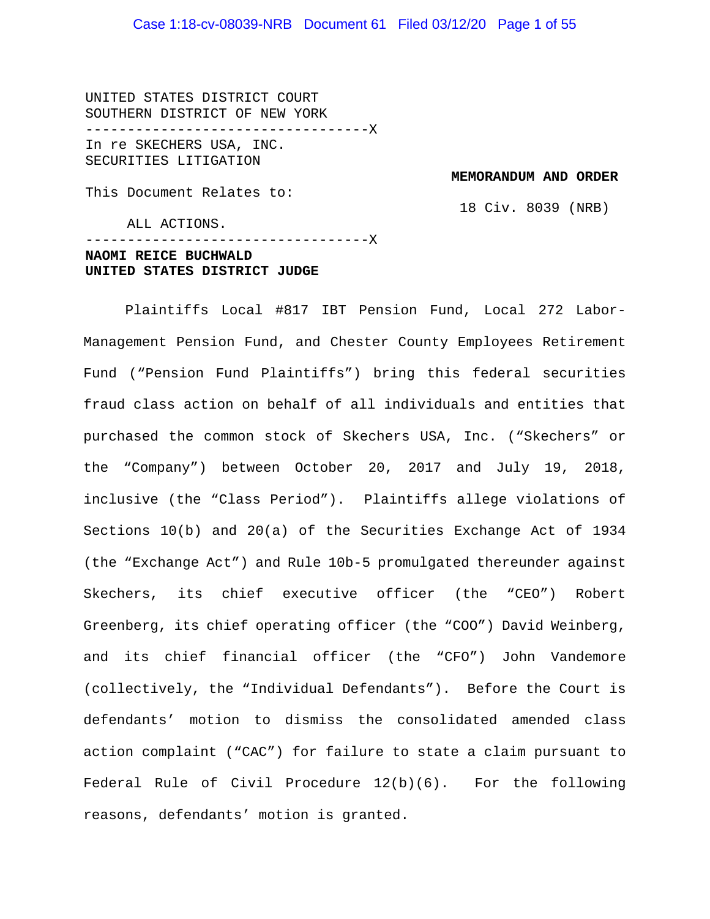## Case 1:18-cv-08039-NRB Document 61 Filed 03/12/20 Page 1 of 55

UNITED STATES DISTRICT COURT SOUTHERN DISTRICT OF NEW YORK ----------------------------------X In re SKECHERS USA, INC. SECURITIES LITIGATION

**MEMORANDUM AND ORDER**

This Document Relates to:

ALL ACTIONS.

18 Civ. 8039 (NRB)

----------------------------------X **NAOMI REICE BUCHWALD UNITED STATES DISTRICT JUDGE**

Plaintiffs Local #817 IBT Pension Fund, Local 272 Labor-Management Pension Fund, and Chester County Employees Retirement Fund ("Pension Fund Plaintiffs") bring this federal securities fraud class action on behalf of all individuals and entities that purchased the common stock of Skechers USA, Inc. ("Skechers" or the "Company") between October 20, 2017 and July 19, 2018, inclusive (the "Class Period"). Plaintiffs allege violations of Sections 10(b) and 20(a) of the Securities Exchange Act of 1934 (the "Exchange Act") and Rule 10b-5 promulgated thereunder against Skechers, its chief executive officer (the "CEO") Robert Greenberg, its chief operating officer (the "COO") David Weinberg, and its chief financial officer (the "CFO") John Vandemore (collectively, the "Individual Defendants"). Before the Court is defendants' motion to dismiss the consolidated amended class action complaint ("CAC") for failure to state a claim pursuant to Federal Rule of Civil Procedure 12(b)(6). For the following reasons, defendants' motion is granted.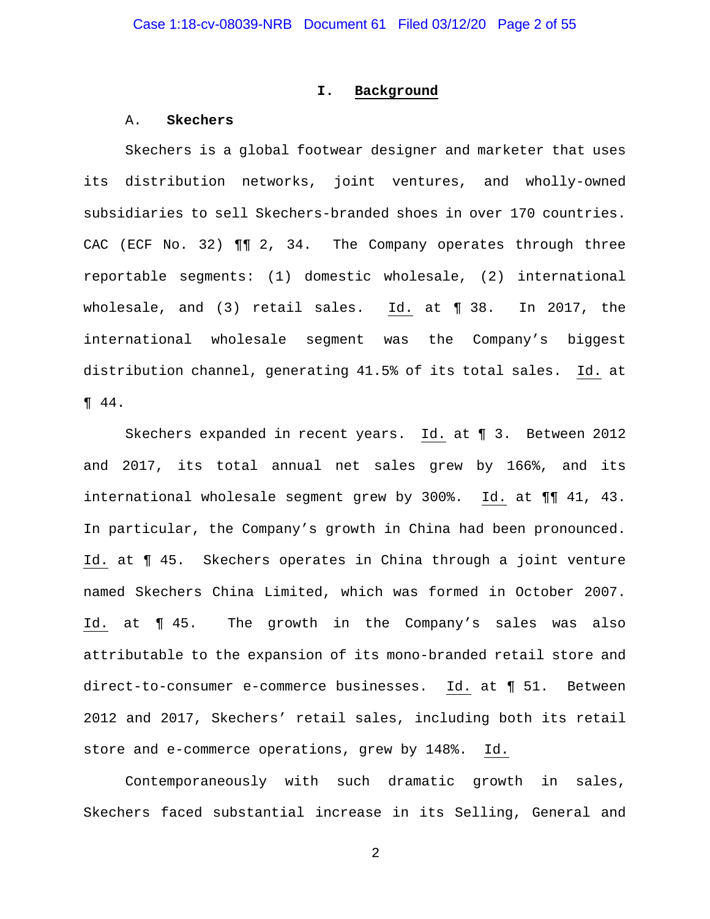#### **I. Background**

#### A. **Skechers**

Skechers is a global footwear designer and marketer that uses its distribution networks, joint ventures, and wholly-owned subsidiaries to sell Skechers-branded shoes in over 170 countries. CAC (ECF No. 32) ¶¶ 2, 34. The Company operates through three reportable segments: (1) domestic wholesale, (2) international wholesale, and (3) retail sales. Id. at ¶ 38. In 2017, the international wholesale segment was the Company's biggest distribution channel, generating 41.5% of its total sales. Id. at ¶ 44.

Skechers expanded in recent years. Id. at ¶ 3. Between 2012 and 2017, its total annual net sales grew by 166%, and its international wholesale segment grew by 300%. Id. at ¶¶ 41, 43. In particular, the Company's growth in China had been pronounced. Id. at ¶ 45. Skechers operates in China through a joint venture named Skechers China Limited, which was formed in October 2007. Id. at ¶ 45. The growth in the Company's sales was also attributable to the expansion of its mono-branded retail store and direct-to-consumer e-commerce businesses. Id. at ¶ 51. Between 2012 and 2017, Skechers' retail sales, including both its retail store and e-commerce operations, grew by 148%. Id.

Contemporaneously with such dramatic growth in sales, Skechers faced substantial increase in its Selling, General and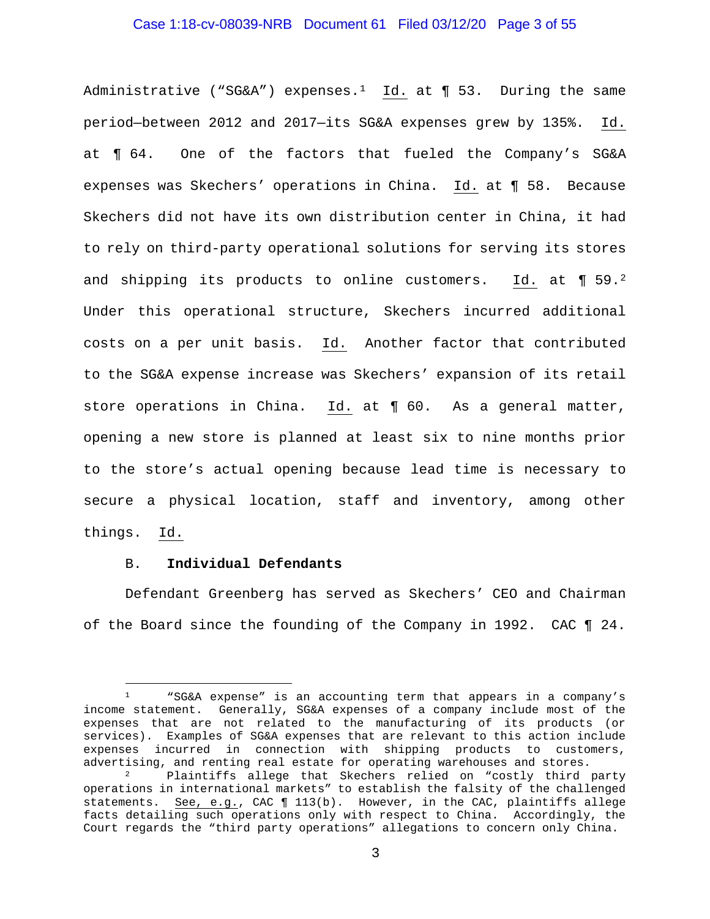## Case 1:18-cv-08039-NRB Document 61 Filed 03/12/20 Page 3 of 55

Administrative ("SG&A") expenses.<sup>[1](#page-2-0)</sup> Id. at  $\P$  53. During the same period—between 2012 and 2017—its SG&A expenses grew by 135%. Id. at ¶ 64. One of the factors that fueled the Company's SG&A expenses was Skechers' operations in China. Id. at ¶ 58. Because Skechers did not have its own distribution center in China, it had to rely on third-party operational solutions for serving its stores and shipping its products to online customers. Id. at ¶ 59.[2](#page-2-1) Under this operational structure, Skechers incurred additional costs on a per unit basis. Id. Another factor that contributed to the SG&A expense increase was Skechers' expansion of its retail store operations in China. Id. at ¶ 60. As a general matter, opening a new store is planned at least six to nine months prior to the store's actual opening because lead time is necessary to secure a physical location, staff and inventory, among other things. Id.

#### B. **Individual Defendants**

Defendant Greenberg has served as Skechers' CEO and Chairman of the Board since the founding of the Company in 1992. CAC ¶ 24.

<span id="page-2-0"></span><sup>1</sup> "SG&A expense" is an accounting term that appears in a company's income statement. Generally, SG&A expenses of a company include most of the expenses that are not related to the manufacturing of its products (or services). Examples of SG&A expenses that are relevant to this action include expenses incurred in connection with shipping products to customers,<br>advertising, and renting real estate for operating warehouses and stores.

<span id="page-2-1"></span>Plaintiffs allege that Skechers relied on "costly third party operations in international markets" to establish the falsity of the challenged statements. See, e.g., CAC ¶ 113(b). However, in the CAC, plaintiffs allege facts detailing such operations only with respect to China. Accordingly, the Court regards the "third party operations" allegations to concern only China.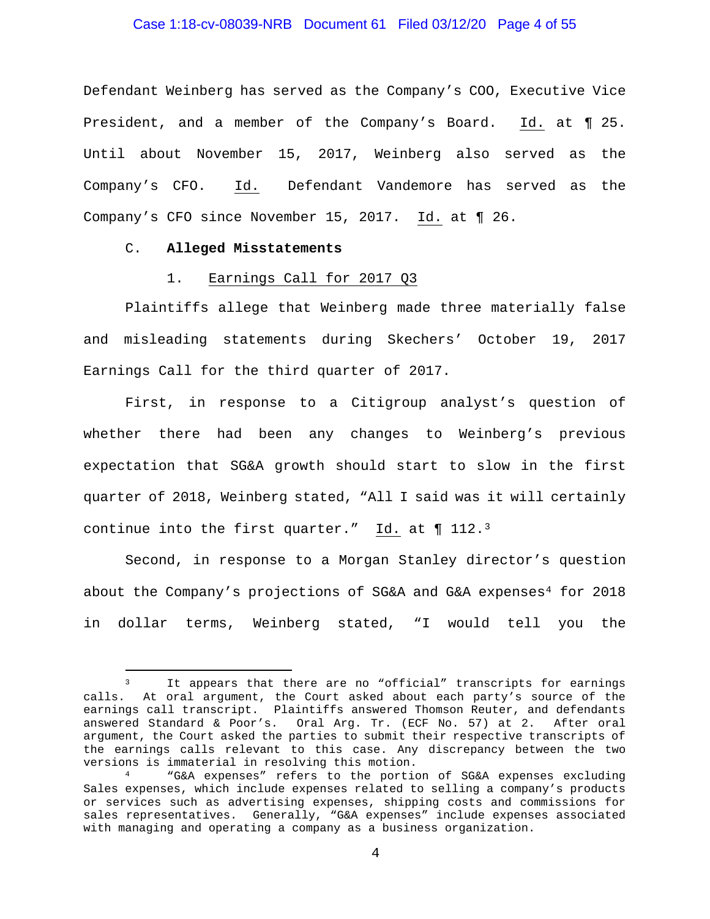## Case 1:18-cv-08039-NRB Document 61 Filed 03/12/20 Page 4 of 55

Defendant Weinberg has served as the Company's COO, Executive Vice President, and a member of the Company's Board. Id. at ¶ 25. Until about November 15, 2017, Weinberg also served as the Company's CFO. Id. Defendant Vandemore has served as the Company's CFO since November 15, 2017. Id. at ¶ 26.

## C. **Alleged Misstatements**

#### 1. Earnings Call for 2017 Q3

Plaintiffs allege that Weinberg made three materially false and misleading statements during Skechers' October 19, 2017 Earnings Call for the third quarter of 2017.

First, in response to a Citigroup analyst's question of whether there had been any changes to Weinberg's previous expectation that SG&A growth should start to slow in the first quarter of 2018, Weinberg stated, "All I said was it will certainly continue into the first quarter." Id. at  $\P$  112.<sup>3</sup>

Second, in response to a Morgan Stanley director's question about the Company's projections of SG&A and G&A expenses<sup>[4](#page-3-1)</sup> for 2018 in dollar terms, Weinberg stated, "I would tell you the

<span id="page-3-0"></span><sup>3</sup> It appears that there are no "official" transcripts for earnings calls. At oral argument, the Court asked about each party's source of the earnings call transcript. Plaintiffs answered Thomson Reuter, and defendants answered Standard & Poor's. Oral Arg. Tr. (ECF No. 57) at 2. After oral argument, the Court asked the parties to submit their respective transcripts of the earnings calls relevant to this case. Any discrepancy between the two versions is immaterial in resolving this motion.

<span id="page-3-1"></span><sup>4</sup> "G&A expenses" refers to the portion of SG&A expenses excluding Sales expenses, which include expenses related to selling a company's products or services such as advertising expenses, shipping costs and commissions for sales representatives. Generally, "G&A expenses" include expenses associated with managing and operating a company as a business organization.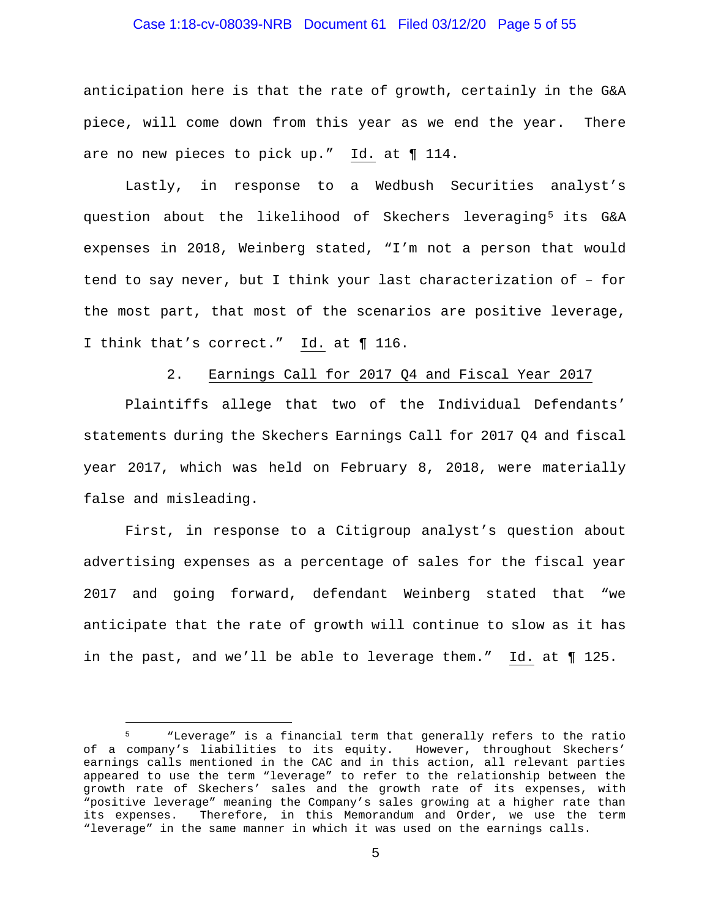## Case 1:18-cv-08039-NRB Document 61 Filed 03/12/20 Page 5 of 55

anticipation here is that the rate of growth, certainly in the G&A piece, will come down from this year as we end the year. There are no new pieces to pick up." Id. at ¶ 114.

Lastly, in response to a Wedbush Securities analyst's question about the likelihood of Skechers leveraging<sup>[5](#page-4-0)</sup> its G&A expenses in 2018, Weinberg stated, "I'm not a person that would tend to say never, but I think your last characterization of – for the most part, that most of the scenarios are positive leverage, I think that's correct." Id. at ¶ 116.

2. Earnings Call for 2017 Q4 and Fiscal Year 2017

Plaintiffs allege that two of the Individual Defendants' statements during the Skechers Earnings Call for 2017 Q4 and fiscal year 2017, which was held on February 8, 2018, were materially false and misleading.

First, in response to a Citigroup analyst's question about advertising expenses as a percentage of sales for the fiscal year 2017 and going forward, defendant Weinberg stated that "we anticipate that the rate of growth will continue to slow as it has in the past, and we'll be able to leverage them." Id. at ¶ 125.

<span id="page-4-0"></span><sup>5</sup> "Leverage" is a financial term that generally refers to the ratio of a company's liabilities to its equity. However, throughout Skechers' earnings calls mentioned in the CAC and in this action, all relevant parties appeared to use the term "leverage" to refer to the relationship between the growth rate of Skechers' sales and the growth rate of its expenses, with "positive leverage" meaning the Company's sales growing at a higher rate than<br>its expenses. Therefore, in this Memorandum and Order, we use the term Therefore, in this Memorandum and Order, we use the term "leverage" in the same manner in which it was used on the earnings calls.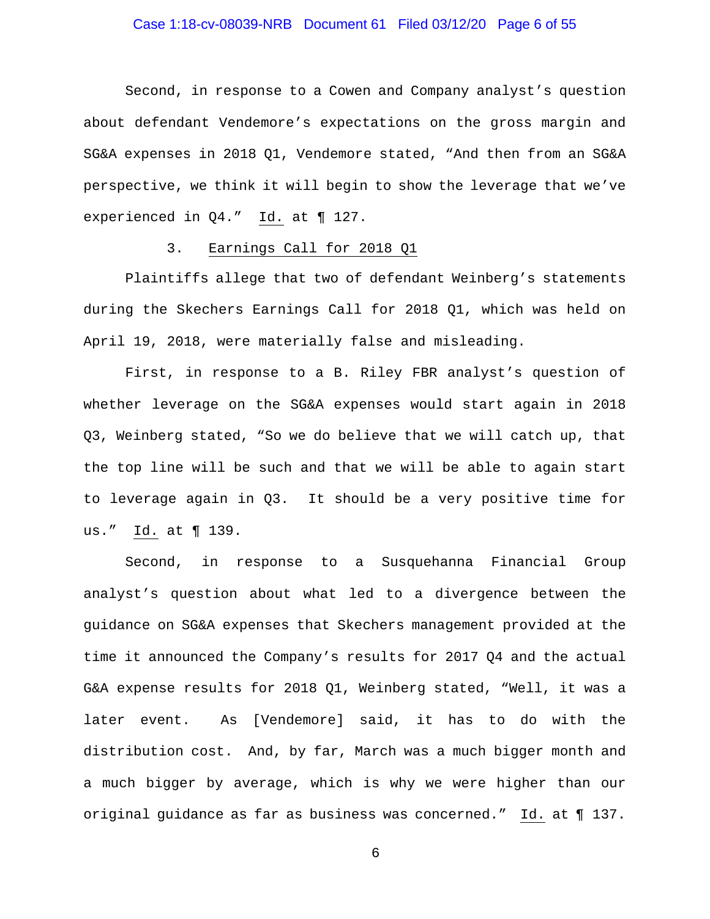## Case 1:18-cv-08039-NRB Document 61 Filed 03/12/20 Page 6 of 55

Second, in response to a Cowen and Company analyst's question about defendant Vendemore's expectations on the gross margin and SG&A expenses in 2018 Q1, Vendemore stated, "And then from an SG&A perspective, we think it will begin to show the leverage that we've experienced in Q4." Id. at ¶ 127.

## 3. Earnings Call for 2018 Q1

Plaintiffs allege that two of defendant Weinberg's statements during the Skechers Earnings Call for 2018 Q1, which was held on April 19, 2018, were materially false and misleading.

First, in response to a B. Riley FBR analyst's question of whether leverage on the SG&A expenses would start again in 2018 Q3, Weinberg stated, "So we do believe that we will catch up, that the top line will be such and that we will be able to again start to leverage again in Q3. It should be a very positive time for us." Id. at ¶ 139.

Second, in response to a Susquehanna Financial Group analyst's question about what led to a divergence between the guidance on SG&A expenses that Skechers management provided at the time it announced the Company's results for 2017 Q4 and the actual G&A expense results for 2018 Q1, Weinberg stated, "Well, it was a later event. As [Vendemore] said, it has to do with the distribution cost. And, by far, March was a much bigger month and a much bigger by average, which is why we were higher than our original guidance as far as business was concerned." Id. at ¶ 137.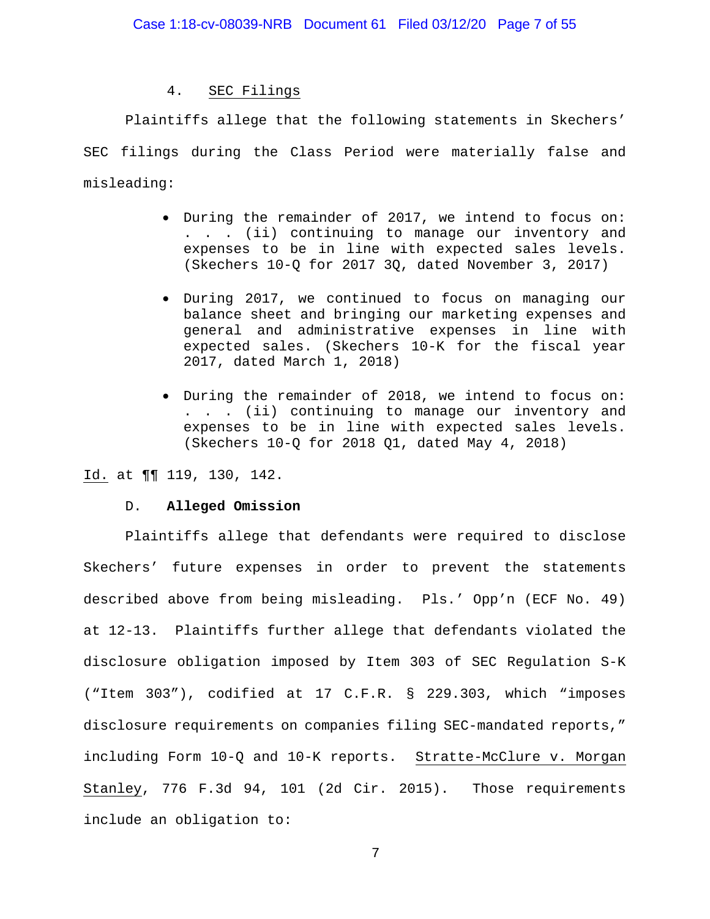## 4. SEC Filings

Plaintiffs allege that the following statements in Skechers' SEC filings during the Class Period were materially false and misleading:

- During the remainder of 2017, we intend to focus on: . . . (ii) continuing to manage our inventory and expenses to be in line with expected sales levels. (Skechers 10-Q for 2017 3Q, dated November 3, 2017)
- During 2017, we continued to focus on managing our balance sheet and bringing our marketing expenses and general and administrative expenses in line with expected sales. (Skechers 10-K for the fiscal year 2017, dated March 1, 2018)
- During the remainder of 2018, we intend to focus on: . . . (ii) continuing to manage our inventory and expenses to be in line with expected sales levels. (Skechers 10-Q for 2018 Q1, dated May 4, 2018)

Id. at ¶¶ 119, 130, 142.

#### D. **Alleged Omission**

Plaintiffs allege that defendants were required to disclose Skechers' future expenses in order to prevent the statements described above from being misleading. Pls.' Opp'n (ECF No. 49) at 12-13. Plaintiffs further allege that defendants violated the disclosure obligation imposed by Item 303 of SEC Regulation S-K ("Item 303"), codified at 17 C.F.R. § 229.303, which "imposes disclosure requirements on companies filing SEC-mandated reports," including Form 10-Q and 10-K reports. Stratte-McClure v. Morgan Stanley, 776 F.3d 94, 101 (2d Cir. 2015). Those requirements include an obligation to: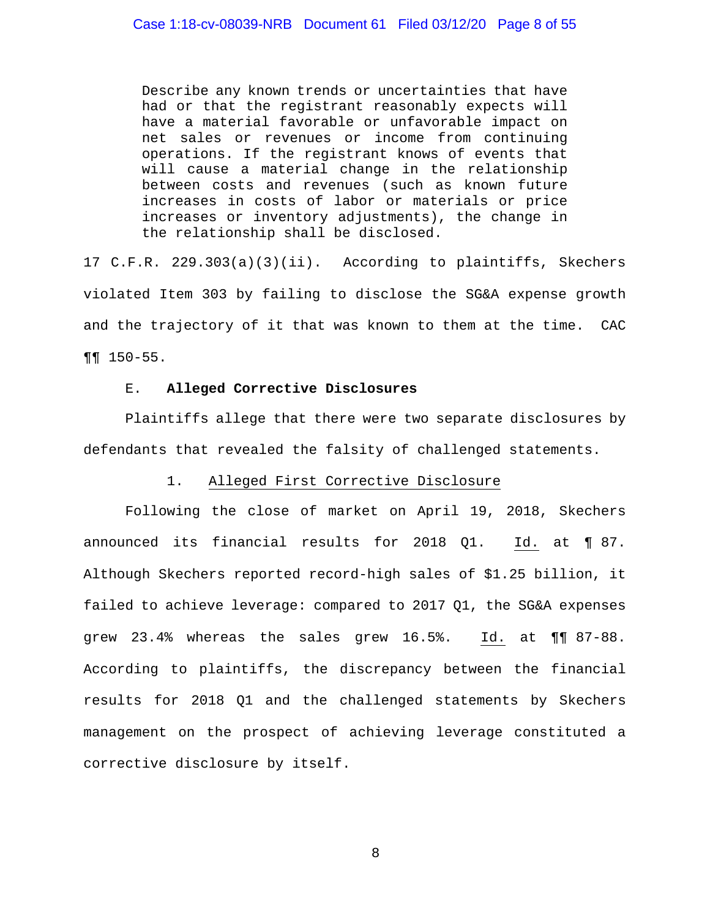Describe any known trends or uncertainties that have had or that the registrant reasonably expects will have a material favorable or unfavorable impact on net sales or revenues or income from continuing operations. If the registrant knows of events that will cause a material change in the relationship between costs and revenues (such as known future increases in costs of labor or materials or price increases or inventory adjustments), the change in the relationship shall be disclosed.

17 C.F.R. 229.303(a)(3)(ii). According to plaintiffs, Skechers violated Item 303 by failing to disclose the SG&A expense growth and the trajectory of it that was known to them at the time. CAC ¶¶ 150-55.

#### E. **Alleged Corrective Disclosures**

Plaintiffs allege that there were two separate disclosures by defendants that revealed the falsity of challenged statements.

#### 1. Alleged First Corrective Disclosure

Following the close of market on April 19, 2018, Skechers announced its financial results for 2018 Q1. Id. at ¶ 87. Although Skechers reported record-high sales of \$1.25 billion, it failed to achieve leverage: compared to 2017 Q1, the SG&A expenses grew 23.4% whereas the sales grew 16.5%. Id. at ¶¶ 87-88. According to plaintiffs, the discrepancy between the financial results for 2018 Q1 and the challenged statements by Skechers management on the prospect of achieving leverage constituted a corrective disclosure by itself.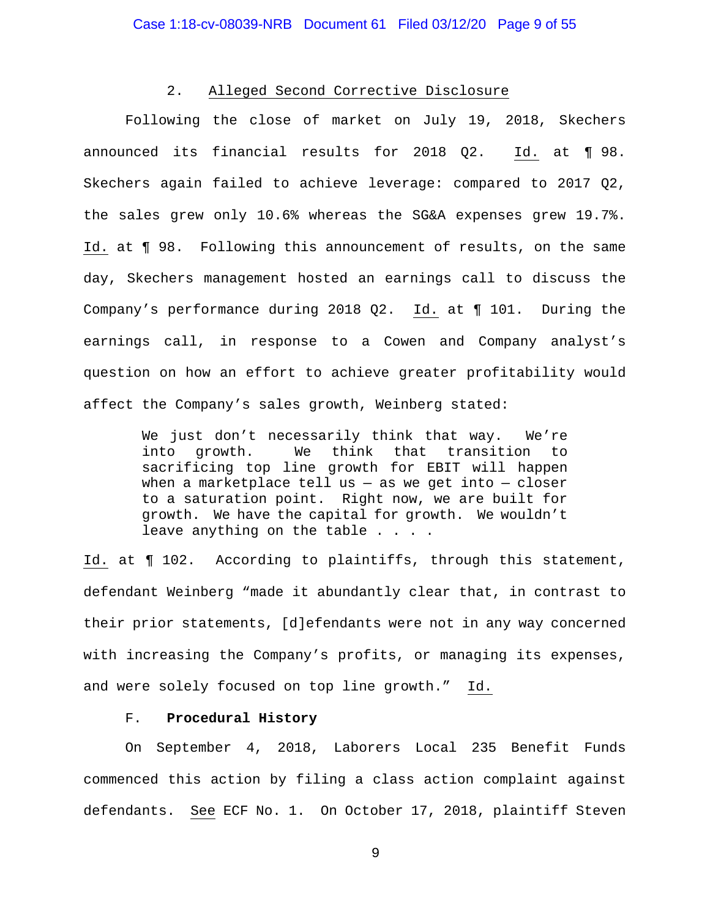#### 2. Alleged Second Corrective Disclosure

Following the close of market on July 19, 2018, Skechers announced its financial results for 2018 Q2. Id. at ¶ 98. Skechers again failed to achieve leverage: compared to 2017 Q2, the sales grew only 10.6% whereas the SG&A expenses grew 19.7%. Id. at ¶ 98. Following this announcement of results, on the same day, Skechers management hosted an earnings call to discuss the Company's performance during 2018 Q2. Id. at ¶ 101. During the earnings call, in response to a Cowen and Company analyst's question on how an effort to achieve greater profitability would affect the Company's sales growth, Weinberg stated:

> We just don't necessarily think that way. We're<br>into growth. We think that transition to We think that transition to sacrificing top line growth for EBIT will happen when a marketplace tell us  $-$  as we get into  $-$  closer to a saturation point. Right now, we are built for growth. We have the capital for growth. We wouldn't leave anything on the table . . . .

Id. at ¶ 102. According to plaintiffs, through this statement, defendant Weinberg "made it abundantly clear that, in contrast to their prior statements, [d]efendants were not in any way concerned with increasing the Company's profits, or managing its expenses, and were solely focused on top line growth." Id.

#### F. **Procedural History**

On September 4, 2018, Laborers Local 235 Benefit Funds commenced this action by filing a class action complaint against defendants. See ECF No. 1. On October 17, 2018, plaintiff Steven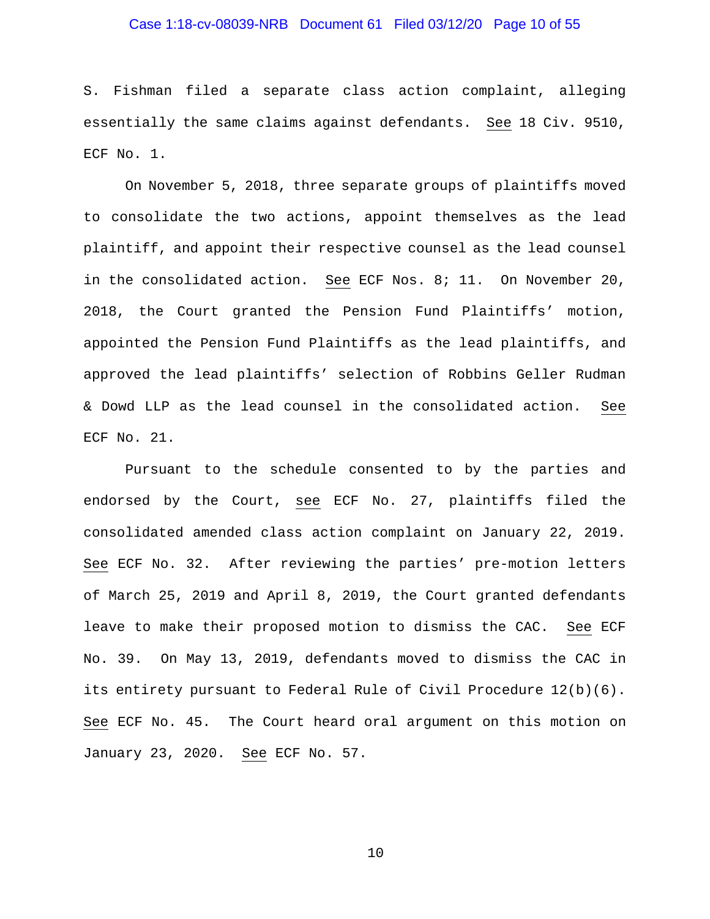## Case 1:18-cv-08039-NRB Document 61 Filed 03/12/20 Page 10 of 55

S. Fishman filed a separate class action complaint, alleging essentially the same claims against defendants. See 18 Civ. 9510, ECF No. 1.

On November 5, 2018, three separate groups of plaintiffs moved to consolidate the two actions, appoint themselves as the lead plaintiff, and appoint their respective counsel as the lead counsel in the consolidated action. See ECF Nos. 8; 11. On November 20, 2018, the Court granted the Pension Fund Plaintiffs' motion, appointed the Pension Fund Plaintiffs as the lead plaintiffs, and approved the lead plaintiffs' selection of Robbins Geller Rudman & Dowd LLP as the lead counsel in the consolidated action. See ECF No. 21.

Pursuant to the schedule consented to by the parties and endorsed by the Court, see ECF No. 27, plaintiffs filed the consolidated amended class action complaint on January 22, 2019. See ECF No. 32. After reviewing the parties' pre-motion letters of March 25, 2019 and April 8, 2019, the Court granted defendants leave to make their proposed motion to dismiss the CAC. See ECF No. 39. On May 13, 2019, defendants moved to dismiss the CAC in its entirety pursuant to Federal Rule of Civil Procedure 12(b)(6). See ECF No. 45. The Court heard oral argument on this motion on January 23, 2020. See ECF No. 57.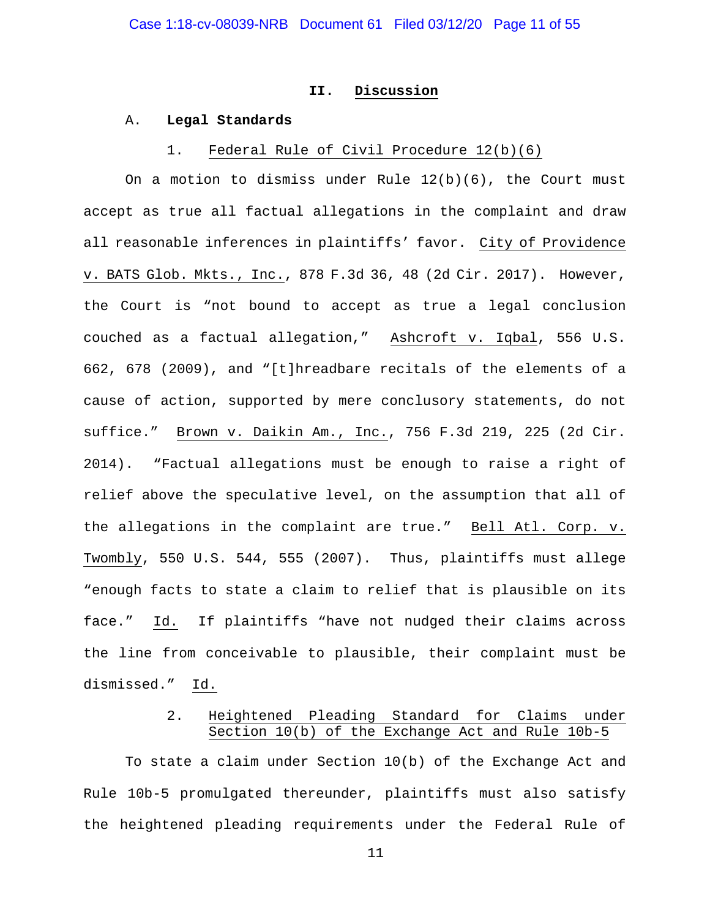#### **II. Discussion**

#### A. **Legal Standards**

#### 1. Federal Rule of Civil Procedure 12(b)(6)

On a motion to dismiss under Rule  $12(b)(6)$ , the Court must accept as true all factual allegations in the complaint and draw all reasonable inferences in plaintiffs' favor. City of Providence v. BATS Glob. Mkts., Inc., 878 F.3d 36, 48 (2d Cir. 2017). However, the Court is "not bound to accept as true a legal conclusion couched as a factual allegation," Ashcroft v. Iqbal, 556 U.S. 662, 678 (2009), and "[t]hreadbare recitals of the elements of a cause of action, supported by mere conclusory statements, do not suffice." Brown v. Daikin Am., Inc., 756 F.3d 219, 225 (2d Cir. 2014). "Factual allegations must be enough to raise a right of relief above the speculative level, on the assumption that all of the allegations in the complaint are true." Bell Atl. Corp. v. Twombly, 550 U.S. 544, 555 (2007). Thus, plaintiffs must allege "enough facts to state a claim to relief that is plausible on its face." Id. If plaintiffs "have not nudged their claims across the line from conceivable to plausible, their complaint must be dismissed." Id.

## 2. Heightened Pleading Standard for Claims under Section 10(b) of the Exchange Act and Rule 10b-5

To state a claim under Section 10(b) of the Exchange Act and Rule 10b-5 promulgated thereunder, plaintiffs must also satisfy the heightened pleading requirements under the Federal Rule of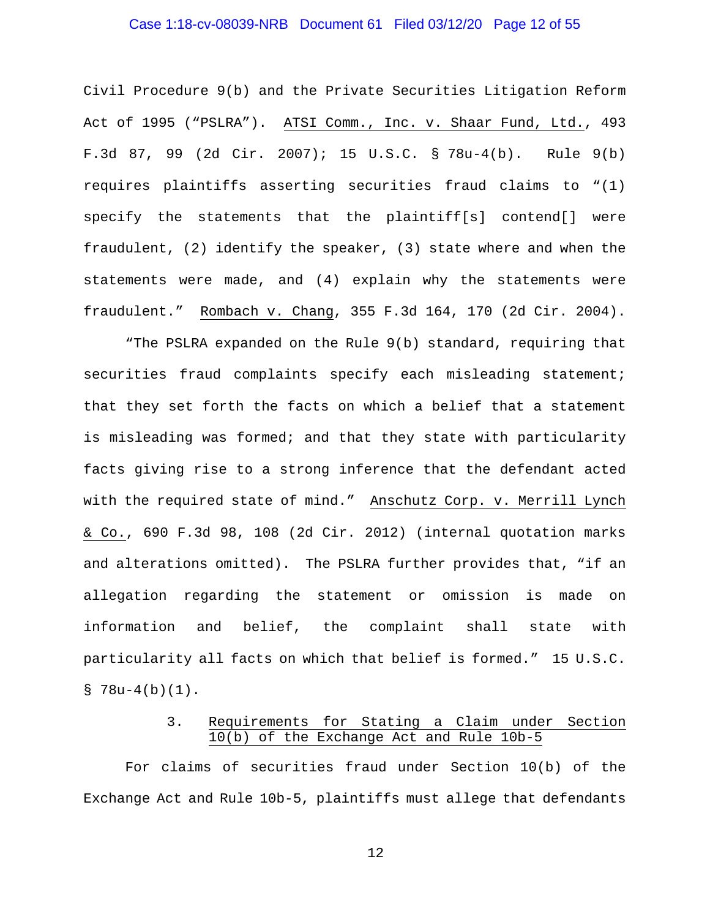## Case 1:18-cv-08039-NRB Document 61 Filed 03/12/20 Page 12 of 55

Civil Procedure 9(b) and the Private Securities Litigation Reform Act of 1995 ("PSLRA"). ATSI Comm., Inc. v. Shaar Fund, Ltd., 493 F.3d 87, 99 (2d Cir. 2007); 15 U.S.C. § 78u-4(b). Rule 9(b) requires plaintiffs asserting securities fraud claims to "(1) specify the statements that the plaintiff[s] contend[] were fraudulent, (2) identify the speaker, (3) state where and when the statements were made, and (4) explain why the statements were fraudulent." Rombach v. Chang, 355 F.3d 164, 170 (2d Cir. 2004).

"The PSLRA expanded on the Rule 9(b) standard, requiring that securities fraud complaints specify each misleading statement; that they set forth the facts on which a belief that a statement is misleading was formed; and that they state with particularity facts giving rise to a strong inference that the defendant acted with the required state of mind." Anschutz Corp. v. Merrill Lynch & Co., 690 F.3d 98, 108 (2d Cir. 2012) (internal quotation marks and alterations omitted). The PSLRA further provides that, "if an allegation regarding the statement or omission is made on information and belief, the complaint shall state with particularity all facts on which that belief is formed." 15 U.S.C.  $$78u-4(b)(1)$ .

# 3. Requirements for Stating a Claim under Section 10(b) of the Exchange Act and Rule 10b-5

For claims of securities fraud under Section 10(b) of the Exchange Act and Rule 10b-5, plaintiffs must allege that defendants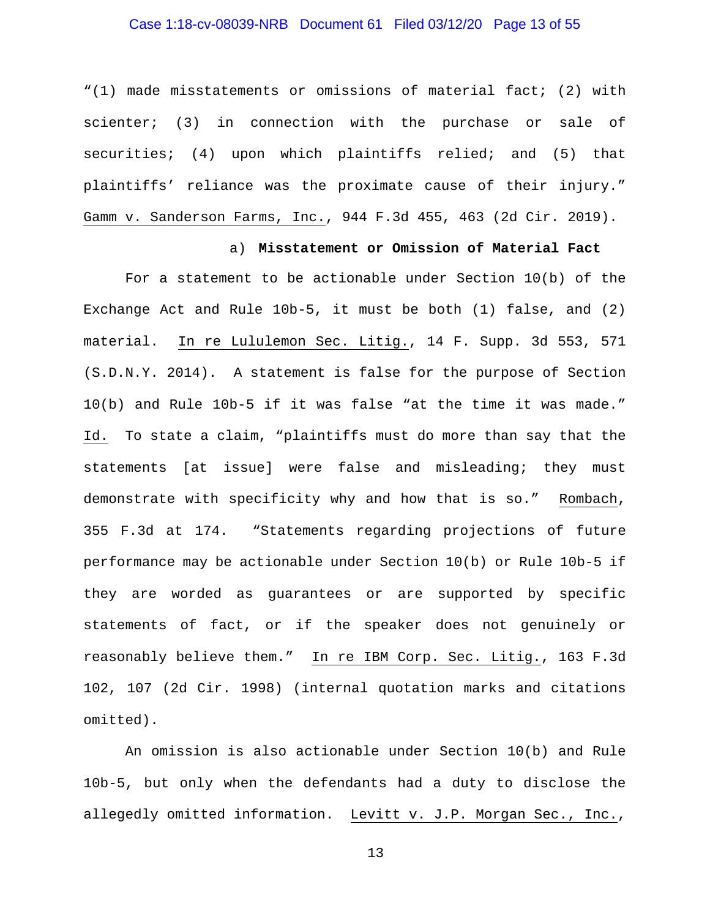## Case 1:18-cv-08039-NRB Document 61 Filed 03/12/20 Page 13 of 55

"(1) made misstatements or omissions of material fact; (2) with scienter; (3) in connection with the purchase or sale of securities; (4) upon which plaintiffs relied; and (5) that plaintiffs' reliance was the proximate cause of their injury." Gamm v. Sanderson Farms, Inc., 944 F.3d 455, 463 (2d Cir. 2019).

## a) **Misstatement or Omission of Material Fact**

For a statement to be actionable under Section 10(b) of the Exchange Act and Rule 10b-5, it must be both (1) false, and (2) material. In re Lululemon Sec. Litig., 14 F. Supp. 3d 553, 571 (S.D.N.Y. 2014). A statement is false for the purpose of Section 10(b) and Rule 10b-5 if it was false "at the time it was made." Id. To state a claim, "plaintiffs must do more than say that the statements [at issue] were false and misleading; they must demonstrate with specificity why and how that is so." Rombach, 355 F.3d at 174. "Statements regarding projections of future performance may be actionable under Section 10(b) or Rule 10b-5 if they are worded as guarantees or are supported by specific statements of fact, or if the speaker does not genuinely or reasonably believe them." In re IBM Corp. Sec. Litig., 163 F.3d 102, 107 (2d Cir. 1998) (internal quotation marks and citations omitted).

An omission is also actionable under Section 10(b) and Rule 10b-5, but only when the defendants had a duty to disclose the allegedly omitted information. Levitt v. J.P. Morgan Sec., Inc.,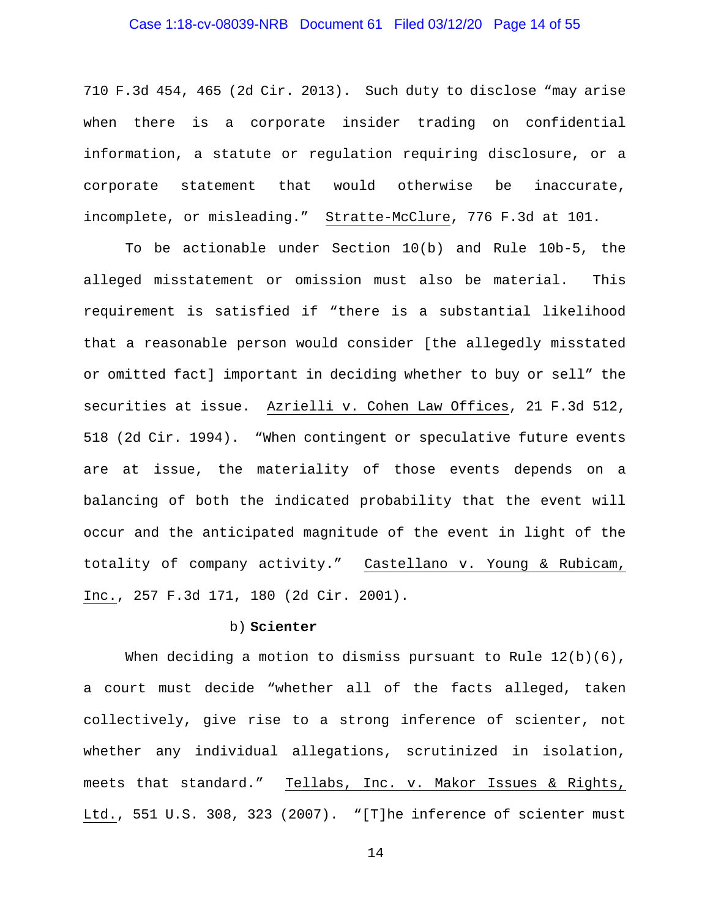## Case 1:18-cv-08039-NRB Document 61 Filed 03/12/20 Page 14 of 55

710 F.3d 454, 465 (2d Cir. 2013). Such duty to disclose "may arise when there is a corporate insider trading on confidential information, a statute or regulation requiring disclosure, or a corporate statement that would otherwise be inaccurate, incomplete, or misleading." Stratte-McClure, 776 F.3d at 101.

To be actionable under Section 10(b) and Rule 10b-5, the alleged misstatement or omission must also be material. This requirement is satisfied if "there is a substantial likelihood that a reasonable person would consider [the allegedly misstated or omitted fact] important in deciding whether to buy or sell" the securities at issue. Azrielli v. Cohen Law Offices, 21 F.3d 512, 518 (2d Cir. 1994). "When contingent or speculative future events are at issue, the materiality of those events depends on a balancing of both the indicated probability that the event will occur and the anticipated magnitude of the event in light of the totality of company activity." Castellano v. Young & Rubicam, Inc., 257 F.3d 171, 180 (2d Cir. 2001).

#### b) **Scienter**

When deciding a motion to dismiss pursuant to Rule  $12(b)(6)$ , a court must decide "whether all of the facts alleged, taken collectively, give rise to a strong inference of scienter, not whether any individual allegations, scrutinized in isolation, meets that standard." Tellabs, Inc. v. Makor Issues & Rights, Ltd., 551 U.S. 308, 323 (2007). "[T]he inference of scienter must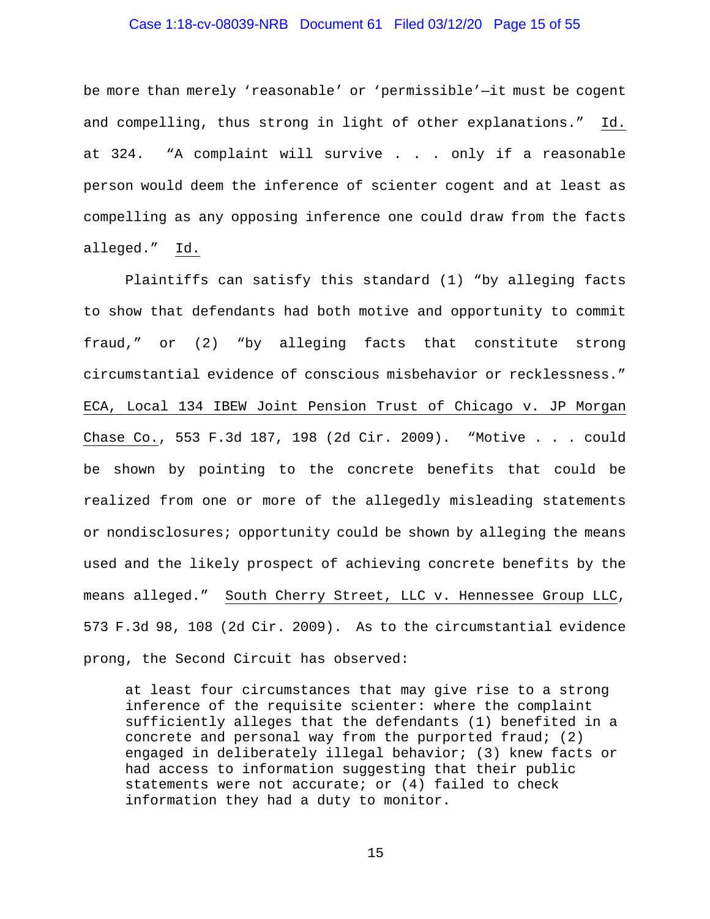## Case 1:18-cv-08039-NRB Document 61 Filed 03/12/20 Page 15 of 55

be more than merely 'reasonable' or 'permissible'—it must be cogent and compelling, thus strong in light of other explanations." Id. at 324. "A complaint will survive . . . only if a reasonable person would deem the inference of scienter cogent and at least as compelling as any opposing inference one could draw from the facts alleged." Id.

Plaintiffs can satisfy this standard (1) "by alleging facts to show that defendants had both motive and opportunity to commit fraud," or (2) "by alleging facts that constitute strong circumstantial evidence of conscious misbehavior or recklessness." ECA, Local 134 IBEW Joint Pension Trust of Chicago v. JP Morgan Chase Co., 553 F.3d 187, 198 (2d Cir. 2009). "Motive . . . could be shown by pointing to the concrete benefits that could be realized from one or more of the allegedly misleading statements or nondisclosures; opportunity could be shown by alleging the means used and the likely prospect of achieving concrete benefits by the means alleged." South Cherry Street, LLC v. Hennessee Group LLC, 573 F.3d 98, 108 (2d Cir. 2009). As to the circumstantial evidence prong, the Second Circuit has observed:

at least four circumstances that may give rise to a strong inference of the requisite scienter: where the complaint sufficiently alleges that the defendants (1) benefited in a concrete and personal way from the purported fraud; (2) engaged in deliberately illegal behavior; (3) knew facts or had access to information suggesting that their public statements were not accurate; or (4) failed to check information they had a duty to monitor.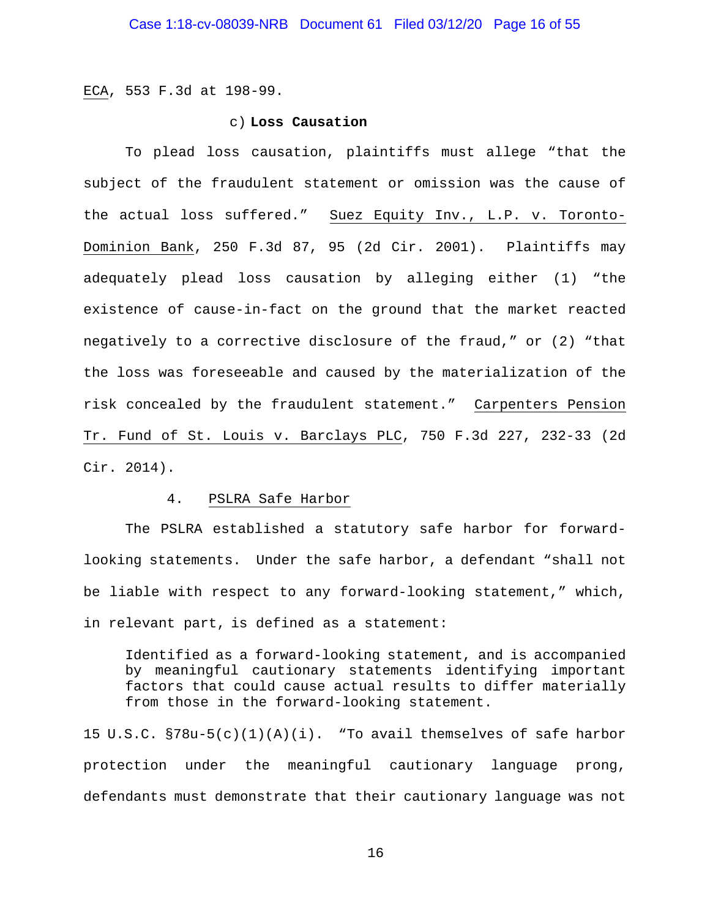ECA, 553 F.3d at 198-99.

#### c) **Loss Causation**

To plead loss causation, plaintiffs must allege "that the subject of the fraudulent statement or omission was the cause of the actual loss suffered." Suez Equity Inv., L.P. v. Toronto-Dominion Bank, 250 F.3d 87, 95 (2d Cir. 2001). Plaintiffs may adequately plead loss causation by alleging either (1) "the existence of cause-in-fact on the ground that the market reacted negatively to a corrective disclosure of the fraud," or (2) "that the loss was foreseeable and caused by the materialization of the risk concealed by the fraudulent statement." Carpenters Pension Tr. Fund of St. Louis v. Barclays PLC, 750 F.3d 227, 232-33 (2d Cir. 2014).

#### 4. PSLRA Safe Harbor

The PSLRA established a statutory safe harbor for forwardlooking statements. Under the safe harbor, a defendant "shall not be liable with respect to any forward-looking statement," which, in relevant part, is defined as a statement:

Identified as a forward-looking statement, and is accompanied by meaningful cautionary statements identifying important factors that could cause actual results to differ materially from those in the forward-looking statement.

15 U.S.C. §78u-5(c)(1)(A)(i). "To avail themselves of safe harbor protection under the meaningful cautionary language prong, defendants must demonstrate that their cautionary language was not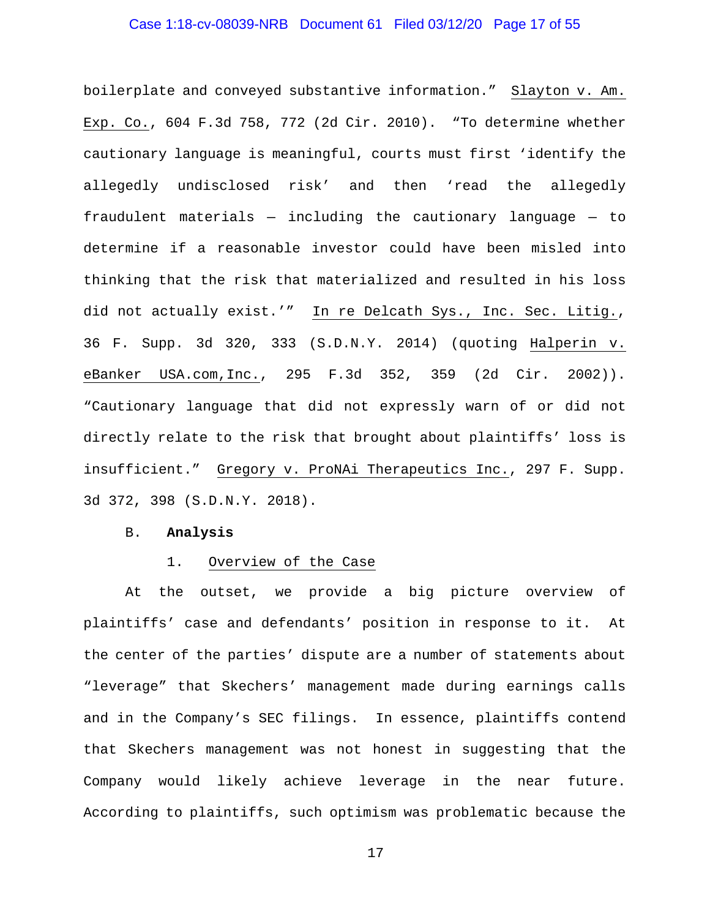## Case 1:18-cv-08039-NRB Document 61 Filed 03/12/20 Page 17 of 55

boilerplate and conveyed substantive information." Slayton v. Am. Exp. Co., 604 F.3d 758, 772 (2d Cir. 2010). "To determine whether cautionary language is meaningful, courts must first 'identify the allegedly undisclosed risk' and then 'read the allegedly fraudulent materials — including the cautionary language — to determine if a reasonable investor could have been misled into thinking that the risk that materialized and resulted in his loss did not actually exist.'" In re Delcath Sys., Inc. Sec. Litig., 36 F. Supp. 3d 320, 333 (S.D.N.Y. 2014) (quoting Halperin v. eBanker USA.com,Inc., 295 F.3d 352, 359 (2d Cir. 2002)). "Cautionary language that did not expressly warn of or did not directly relate to the risk that brought about plaintiffs' loss is insufficient." Gregory v. ProNAi Therapeutics Inc., 297 F. Supp. 3d 372, 398 (S.D.N.Y. 2018).

#### B. **Analysis**

#### 1. Overview of the Case

At the outset, we provide a big picture overview of plaintiffs' case and defendants' position in response to it. At the center of the parties' dispute are a number of statements about "leverage" that Skechers' management made during earnings calls and in the Company's SEC filings. In essence, plaintiffs contend that Skechers management was not honest in suggesting that the Company would likely achieve leverage in the near future. According to plaintiffs, such optimism was problematic because the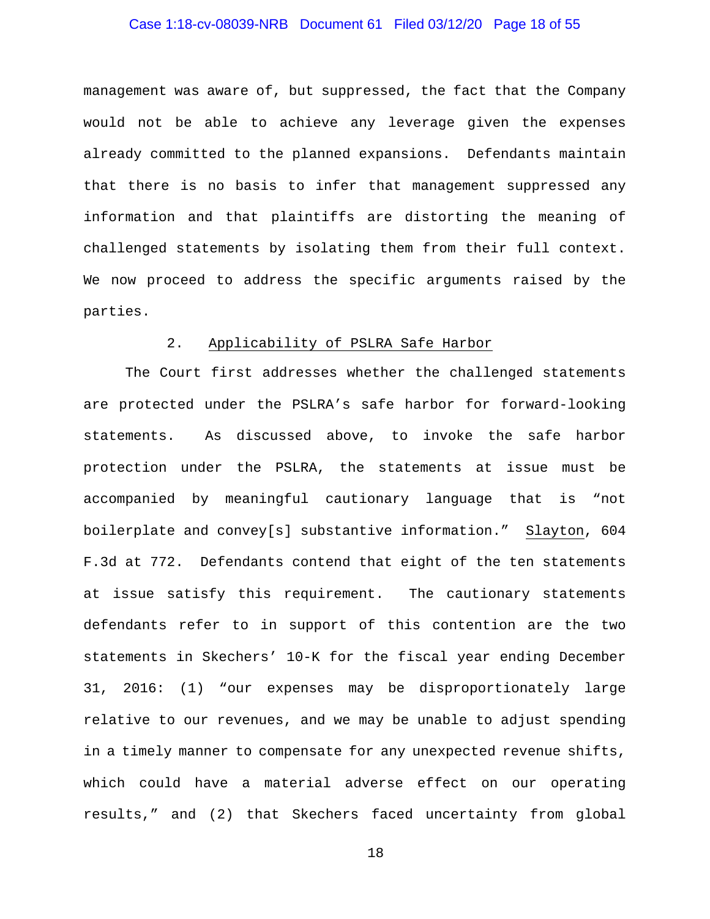## Case 1:18-cv-08039-NRB Document 61 Filed 03/12/20 Page 18 of 55

management was aware of, but suppressed, the fact that the Company would not be able to achieve any leverage given the expenses already committed to the planned expansions. Defendants maintain that there is no basis to infer that management suppressed any information and that plaintiffs are distorting the meaning of challenged statements by isolating them from their full context. We now proceed to address the specific arguments raised by the parties.

#### 2. Applicability of PSLRA Safe Harbor

The Court first addresses whether the challenged statements are protected under the PSLRA's safe harbor for forward-looking statements. As discussed above, to invoke the safe harbor protection under the PSLRA, the statements at issue must be accompanied by meaningful cautionary language that is "not boilerplate and convey[s] substantive information." Slayton, 604 F.3d at 772. Defendants contend that eight of the ten statements at issue satisfy this requirement. The cautionary statements defendants refer to in support of this contention are the two statements in Skechers' 10-K for the fiscal year ending December 31, 2016: (1) "our expenses may be disproportionately large relative to our revenues, and we may be unable to adjust spending in a timely manner to compensate for any unexpected revenue shifts, which could have a material adverse effect on our operating results," and (2) that Skechers faced uncertainty from global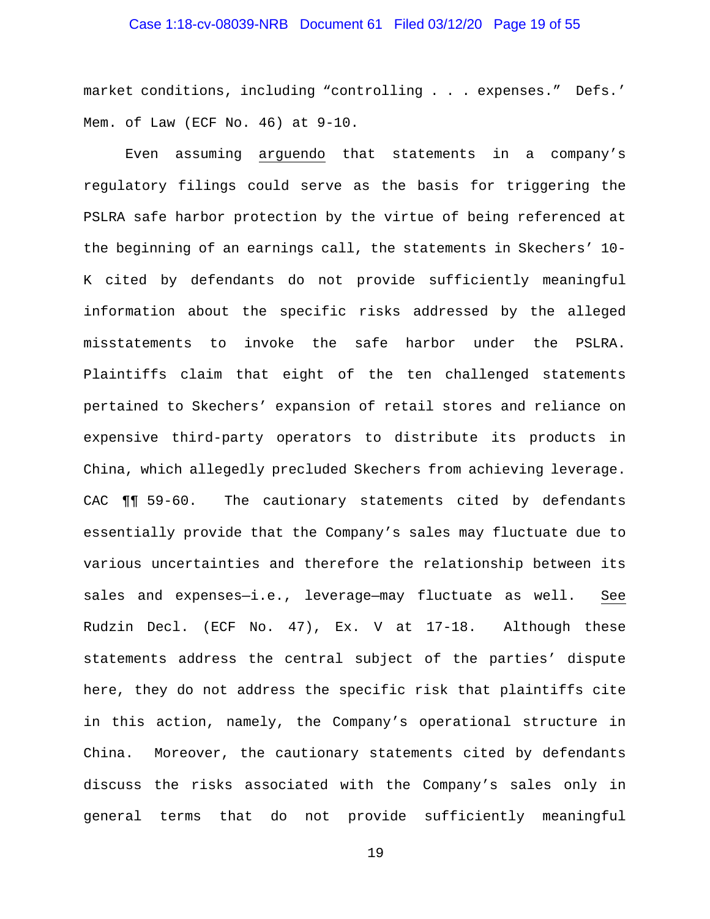## Case 1:18-cv-08039-NRB Document 61 Filed 03/12/20 Page 19 of 55

market conditions, including "controlling . . . expenses." Defs.' Mem. of Law (ECF No. 46) at 9-10.

Even assuming arguendo that statements in a company's regulatory filings could serve as the basis for triggering the PSLRA safe harbor protection by the virtue of being referenced at the beginning of an earnings call, the statements in Skechers' 10- K cited by defendants do not provide sufficiently meaningful information about the specific risks addressed by the alleged misstatements to invoke the safe harbor under the PSLRA. Plaintiffs claim that eight of the ten challenged statements pertained to Skechers' expansion of retail stores and reliance on expensive third-party operators to distribute its products in China, which allegedly precluded Skechers from achieving leverage. CAC ¶¶ 59-60. The cautionary statements cited by defendants essentially provide that the Company's sales may fluctuate due to various uncertainties and therefore the relationship between its sales and expenses-i.e., leverage-may fluctuate as well. See Rudzin Decl. (ECF No. 47), Ex. V at 17-18. Although these statements address the central subject of the parties' dispute here, they do not address the specific risk that plaintiffs cite in this action, namely, the Company's operational structure in China. Moreover, the cautionary statements cited by defendants discuss the risks associated with the Company's sales only in general terms that do not provide sufficiently meaningful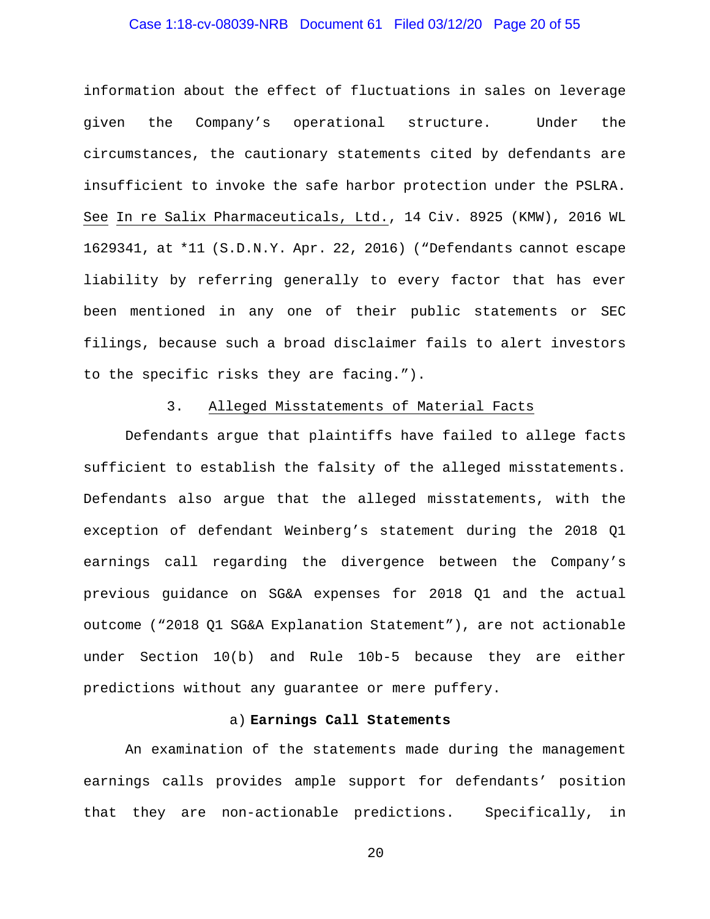# Case 1:18-cv-08039-NRB Document 61 Filed 03/12/20 Page 20 of 55

information about the effect of fluctuations in sales on leverage given the Company's operational structure. Under the circumstances, the cautionary statements cited by defendants are insufficient to invoke the safe harbor protection under the PSLRA. See In re Salix Pharmaceuticals, Ltd., 14 Civ. 8925 (KMW), 2016 WL 1629341, at \*11 (S.D.N.Y. Apr. 22, 2016) ("Defendants cannot escape liability by referring generally to every factor that has ever been mentioned in any one of their public statements or SEC filings, because such a broad disclaimer fails to alert investors to the specific risks they are facing.").

#### 3. Alleged Misstatements of Material Facts

Defendants argue that plaintiffs have failed to allege facts sufficient to establish the falsity of the alleged misstatements. Defendants also argue that the alleged misstatements, with the exception of defendant Weinberg's statement during the 2018 Q1 earnings call regarding the divergence between the Company's previous guidance on SG&A expenses for 2018 Q1 and the actual outcome ("2018 Q1 SG&A Explanation Statement"), are not actionable under Section 10(b) and Rule 10b-5 because they are either predictions without any guarantee or mere puffery.

#### a) **Earnings Call Statements**

An examination of the statements made during the management earnings calls provides ample support for defendants' position that they are non-actionable predictions. Specifically, in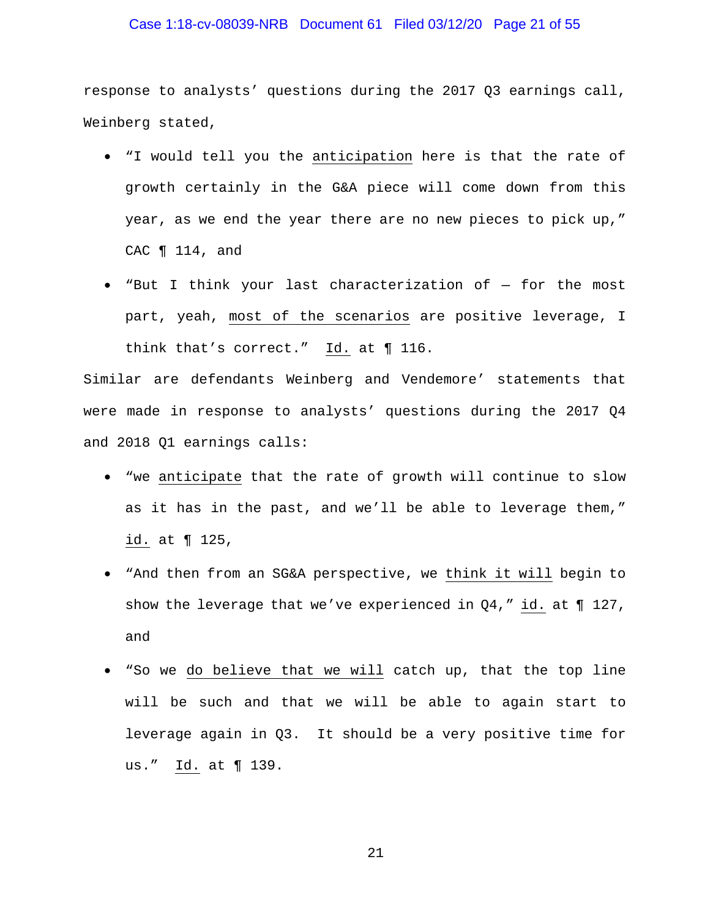## Case 1:18-cv-08039-NRB Document 61 Filed 03/12/20 Page 21 of 55

response to analysts' questions during the 2017 Q3 earnings call, Weinberg stated,

- "I would tell you the anticipation here is that the rate of growth certainly in the G&A piece will come down from this year, as we end the year there are no new pieces to pick up," CAC ¶ 114, and
- "But I think your last characterization of for the most part, yeah, most of the scenarios are positive leverage, I think that's correct." Id. at ¶ 116.

Similar are defendants Weinberg and Vendemore' statements that were made in response to analysts' questions during the 2017 Q4 and 2018 Q1 earnings calls:

- "we anticipate that the rate of growth will continue to slow as it has in the past, and we'll be able to leverage them," id. at ¶ 125,
- "And then from an SG&A perspective, we think it will begin to show the leverage that we've experienced in  $Q4$ ," id. at  $\P$  127, and
- "So we do believe that we will catch up, that the top line will be such and that we will be able to again start to leverage again in Q3. It should be a very positive time for us." Id. at ¶ 139.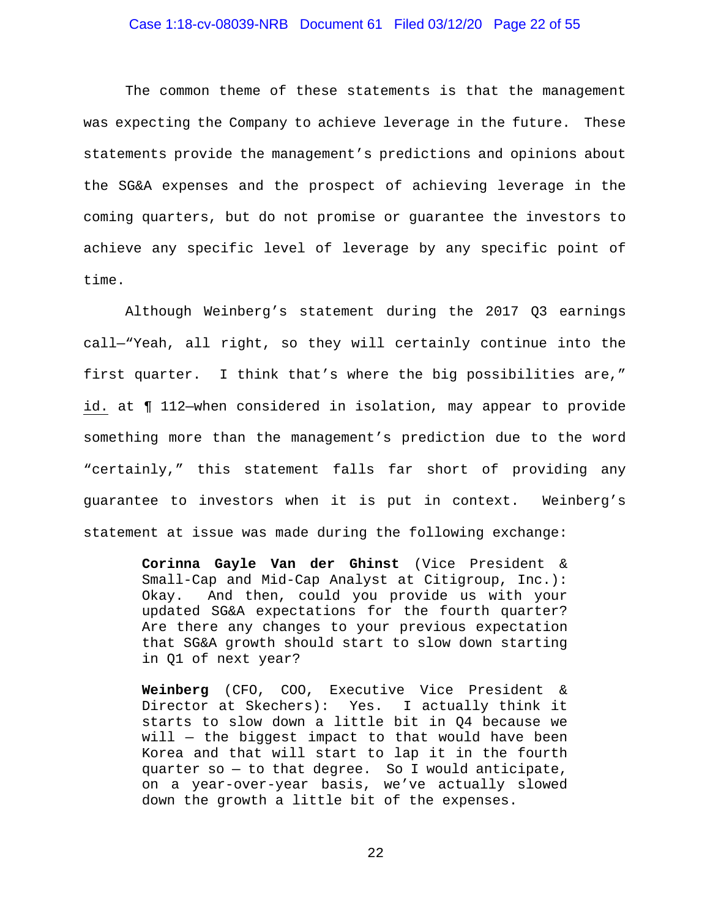# Case 1:18-cv-08039-NRB Document 61 Filed 03/12/20 Page 22 of 55

The common theme of these statements is that the management was expecting the Company to achieve leverage in the future. These statements provide the management's predictions and opinions about the SG&A expenses and the prospect of achieving leverage in the coming quarters, but do not promise or guarantee the investors to achieve any specific level of leverage by any specific point of time.

Although Weinberg's statement during the 2017 Q3 earnings call—"Yeah, all right, so they will certainly continue into the first quarter. I think that's where the big possibilities are," id. at ¶ 112—when considered in isolation, may appear to provide something more than the management's prediction due to the word "certainly," this statement falls far short of providing any guarantee to investors when it is put in context. Weinberg's statement at issue was made during the following exchange:

> **Corinna Gayle Van der Ghinst** (Vice President & Small-Cap and Mid-Cap Analyst at Citigroup, Inc.): Okay. And then, could you provide us with your updated SG&A expectations for the fourth quarter? Are there any changes to your previous expectation that SG&A growth should start to slow down starting in Q1 of next year?

> **Weinberg** (CFO, COO, Executive Vice President & Director at Skechers): Yes. I actually think it starts to slow down a little bit in Q4 because we  $will$  – the biggest impact to that would have been Korea and that will start to lap it in the fourth quarter so — to that degree. So I would anticipate, on a year-over-year basis, we've actually slowed down the growth a little bit of the expenses.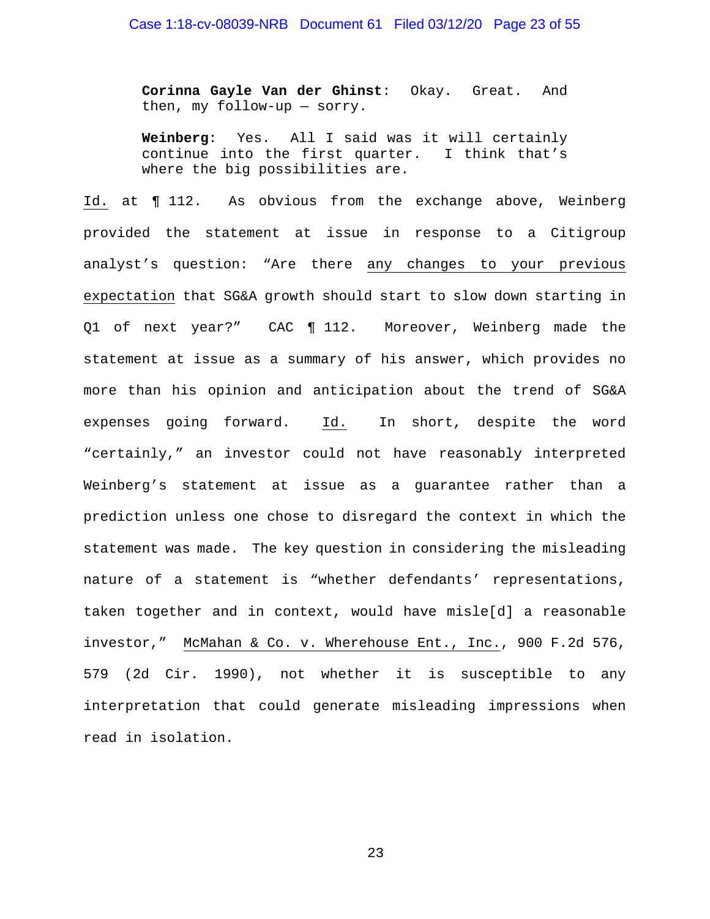**Corinna Gayle Van der Ghinst**: Okay. Great. And then, my follow-up — sorry.

**Weinberg**: Yes. All I said was it will certainly continue into the first quarter. I think that's where the big possibilities are.

Id. at ¶ 112. As obvious from the exchange above, Weinberg provided the statement at issue in response to a Citigroup analyst's question: "Are there any changes to your previous expectation that SG&A growth should start to slow down starting in Q1 of next year?" CAC ¶ 112. Moreover, Weinberg made the statement at issue as a summary of his answer, which provides no more than his opinion and anticipation about the trend of SG&A expenses going forward. Id. In short, despite the word "certainly," an investor could not have reasonably interpreted Weinberg's statement at issue as a guarantee rather than a prediction unless one chose to disregard the context in which the statement was made. The key question in considering the misleading nature of a statement is "whether defendants' representations, taken together and in context, would have misle[d] a reasonable investor," McMahan & Co. v. Wherehouse Ent., Inc., 900 F.2d 576, 579 (2d Cir. 1990), not whether it is susceptible to any interpretation that could generate misleading impressions when read in isolation.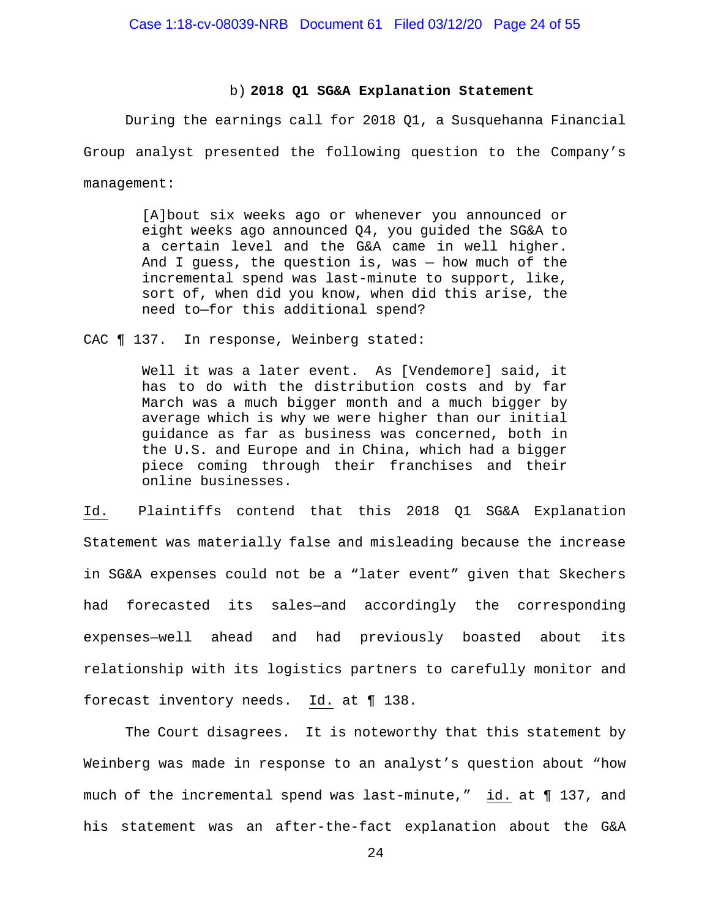#### b) **2018 Q1 SG&A Explanation Statement**

During the earnings call for 2018 Q1, a Susquehanna Financial Group analyst presented the following question to the Company's management:

> [A]bout six weeks ago or whenever you announced or eight weeks ago announced Q4, you guided the SG&A to a certain level and the G&A came in well higher. And I guess, the question is, was — how much of the incremental spend was last-minute to support, like, sort of, when did you know, when did this arise, the need to—for this additional spend?

CAC ¶ 137. In response, Weinberg stated:

Well it was a later event. As [Vendemore] said, it has to do with the distribution costs and by far March was a much bigger month and a much bigger by average which is why we were higher than our initial guidance as far as business was concerned, both in the U.S. and Europe and in China, which had a bigger piece coming through their franchises and their online businesses.

Id. Plaintiffs contend that this 2018 Q1 SG&A Explanation Statement was materially false and misleading because the increase in SG&A expenses could not be a "later event" given that Skechers had forecasted its sales—and accordingly the corresponding expenses—well ahead and had previously boasted about its relationship with its logistics partners to carefully monitor and forecast inventory needs. Id. at ¶ 138.

The Court disagrees. It is noteworthy that this statement by Weinberg was made in response to an analyst's question about "how much of the incremental spend was last-minute," id. at ¶ 137, and his statement was an after-the-fact explanation about the G&A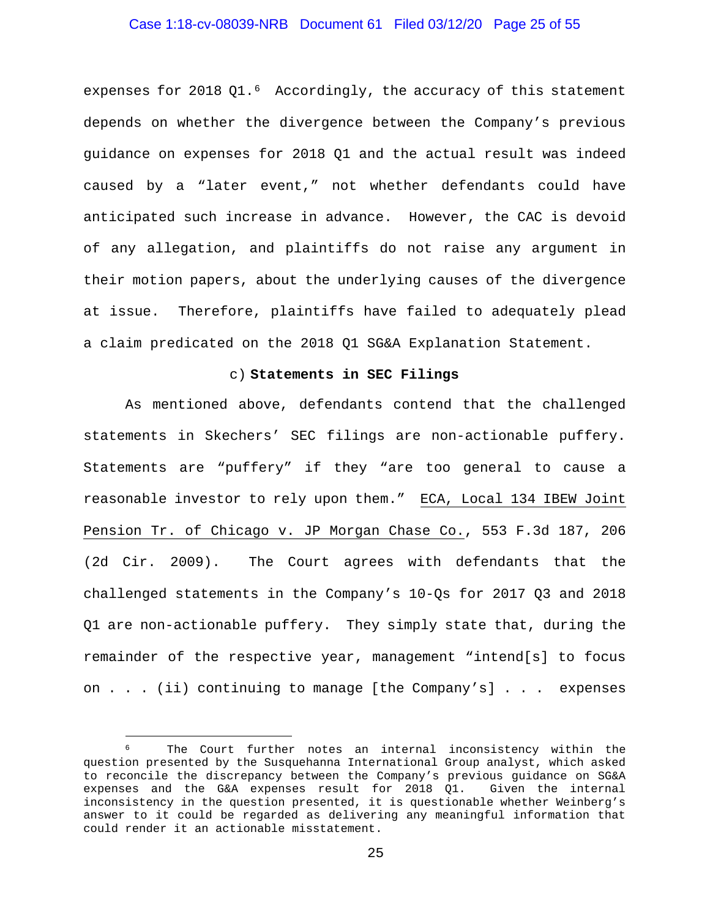## Case 1:18-cv-08039-NRB Document 61 Filed 03/12/20 Page 25 of 55

expenses for 2018 Q1.<sup>[6](#page-24-0)</sup> Accordingly, the accuracy of this statement depends on whether the divergence between the Company's previous guidance on expenses for 2018 Q1 and the actual result was indeed caused by a "later event," not whether defendants could have anticipated such increase in advance. However, the CAC is devoid of any allegation, and plaintiffs do not raise any argument in their motion papers, about the underlying causes of the divergence at issue. Therefore, plaintiffs have failed to adequately plead a claim predicated on the 2018 Q1 SG&A Explanation Statement.

#### c) **Statements in SEC Filings**

As mentioned above, defendants contend that the challenged statements in Skechers' SEC filings are non-actionable puffery. Statements are "puffery" if they "are too general to cause a reasonable investor to rely upon them." ECA, Local 134 IBEW Joint Pension Tr. of Chicago v. JP Morgan Chase Co., 553 F.3d 187, 206 (2d Cir. 2009). The Court agrees with defendants that the challenged statements in the Company's 10-Qs for 2017 Q3 and 2018 Q1 are non-actionable puffery. They simply state that, during the remainder of the respective year, management "intend[s] to focus on . . . (ii) continuing to manage [the Company's] . . . expenses

<span id="page-24-0"></span>The Court further notes an internal inconsistency within the question presented by the Susquehanna International Group analyst, which asked to reconcile the discrepancy between the Company's previous guidance on SG&A expenses and the G&A expenses result for 2018 Q1. Given the internal inconsistency in the question presented, it is questionable whether Weinberg's answer to it could be regarded as delivering any meaningful information that could render it an actionable misstatement.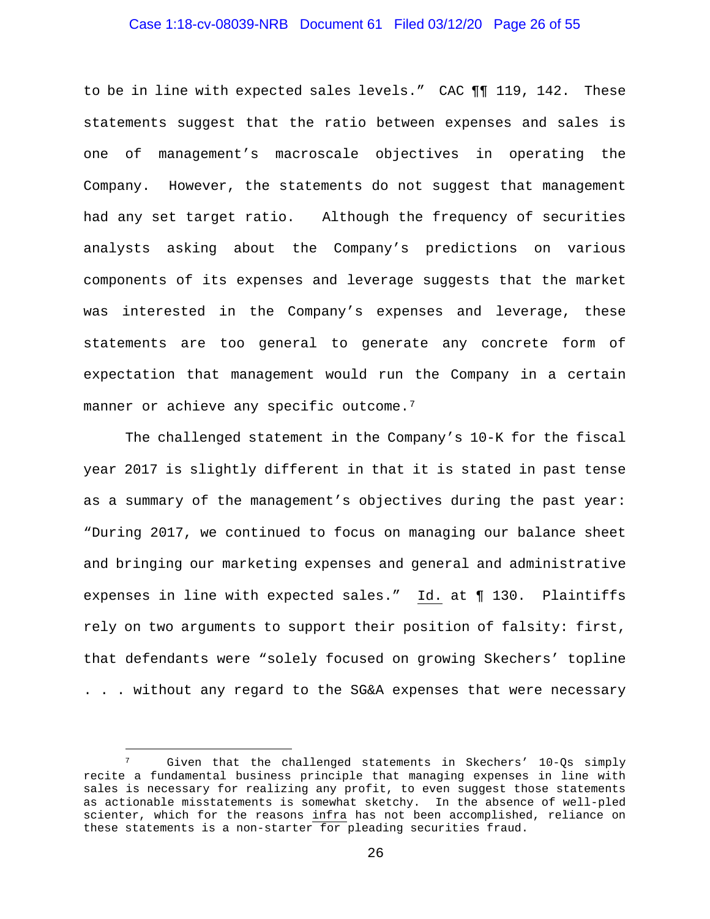## Case 1:18-cv-08039-NRB Document 61 Filed 03/12/20 Page 26 of 55

to be in line with expected sales levels." CAC ¶¶ 119, 142. These statements suggest that the ratio between expenses and sales is one of management's macroscale objectives in operating the Company. However, the statements do not suggest that management had any set target ratio. Although the frequency of securities analysts asking about the Company's predictions on various components of its expenses and leverage suggests that the market was interested in the Company's expenses and leverage, these statements are too general to generate any concrete form of expectation that management would run the Company in a certain manner or achieve any specific outcome.<sup>[7](#page-25-0)</sup>

The challenged statement in the Company's 10-K for the fiscal year 2017 is slightly different in that it is stated in past tense as a summary of the management's objectives during the past year: "During 2017, we continued to focus on managing our balance sheet and bringing our marketing expenses and general and administrative expenses in line with expected sales." Id. at ¶ 130. Plaintiffs rely on two arguments to support their position of falsity: first, that defendants were "solely focused on growing Skechers' topline . . . without any regard to the SG&A expenses that were necessary

<span id="page-25-0"></span>Given that the challenged statements in Skechers' 10-Os simply recite a fundamental business principle that managing expenses in line with sales is necessary for realizing any profit, to even suggest those statements as actionable misstatements is somewhat sketchy. In the absence of well-pled scienter, which for the reasons infra has not been accomplished, reliance on these statements is a non-starter for pleading securities fraud.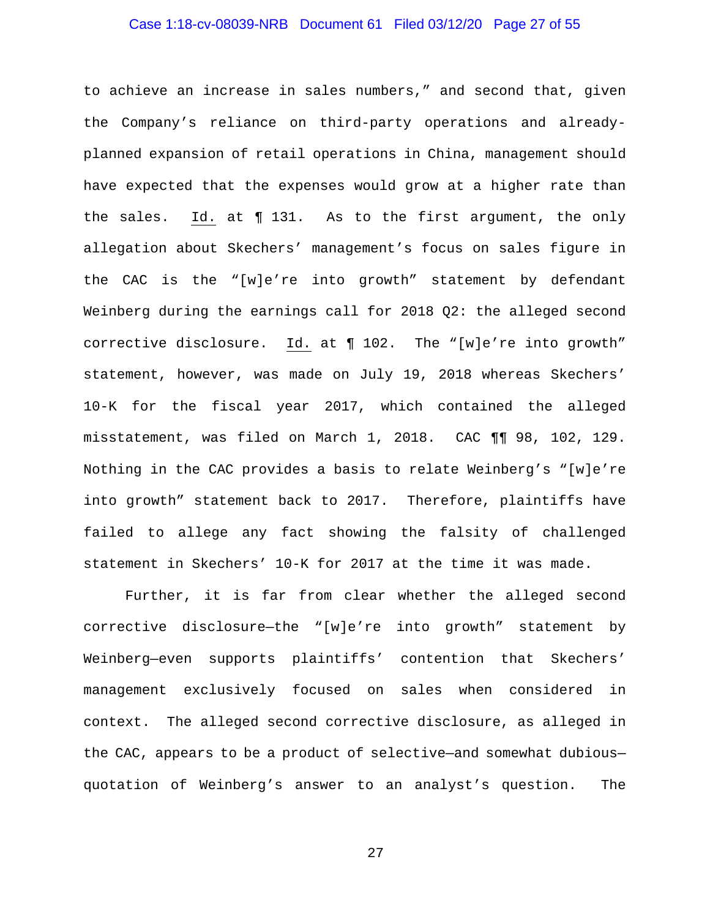## Case 1:18-cv-08039-NRB Document 61 Filed 03/12/20 Page 27 of 55

to achieve an increase in sales numbers," and second that, given the Company's reliance on third-party operations and alreadyplanned expansion of retail operations in China, management should have expected that the expenses would grow at a higher rate than the sales. Id. at ¶ 131. As to the first argument, the only allegation about Skechers' management's focus on sales figure in the CAC is the "[w]e're into growth" statement by defendant Weinberg during the earnings call for 2018 Q2: the alleged second corrective disclosure. Id. at ¶ 102. The "[w]e're into growth" statement, however, was made on July 19, 2018 whereas Skechers' 10-K for the fiscal year 2017, which contained the alleged misstatement, was filed on March 1, 2018. CAC ¶¶ 98, 102, 129. Nothing in the CAC provides a basis to relate Weinberg's "[w]e're into growth" statement back to 2017. Therefore, plaintiffs have failed to allege any fact showing the falsity of challenged statement in Skechers' 10-K for 2017 at the time it was made.

Further, it is far from clear whether the alleged second corrective disclosure—the "[w]e're into growth" statement by Weinberg—even supports plaintiffs' contention that Skechers' management exclusively focused on sales when considered in context. The alleged second corrective disclosure, as alleged in the CAC, appears to be a product of selective—and somewhat dubious quotation of Weinberg's answer to an analyst's question. The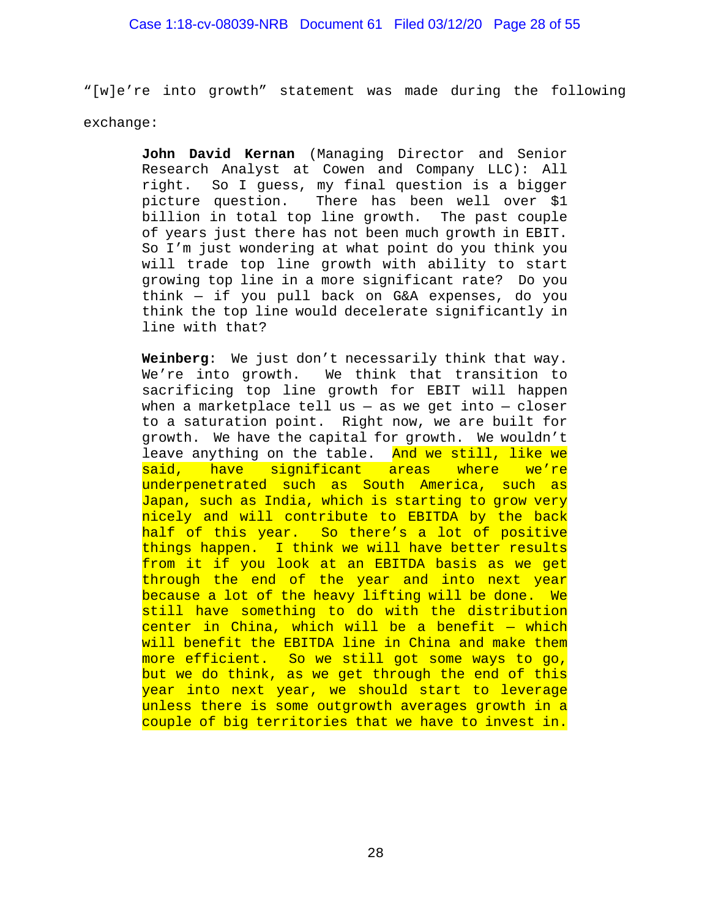"[w]e're into growth" statement was made during the following exchange:

> **John David Kernan** (Managing Director and Senior Research Analyst at Cowen and Company LLC): All right. So I guess, my final question is a bigger picture question. There has been well over \$1 billion in total top line growth. The past couple of years just there has not been much growth in EBIT. So I'm just wondering at what point do you think you will trade top line growth with ability to start growing top line in a more significant rate? Do you think — if you pull back on G&A expenses, do you think the top line would decelerate significantly in line with that?

> **Weinberg**: We just don't necessarily think that way. We're into growth. We think that transition to sacrificing top line growth for EBIT will happen when a marketplace tell us  $-$  as we get into  $-$  closer to a saturation point. Right now, we are built for growth. We have the capital for growth. We wouldn't leave anything on the table. And we still, like we said, have significant areas where we're underpenetrated such as South America, such as Japan, such as India, which is starting to grow very nicely and will contribute to EBITDA by the back half of this year. So there's a lot of positive things happen. I think we will have better results from it if you look at an EBITDA basis as we get through the end of the year and into next year because a lot of the heavy lifting will be done. We still have something to do with the distribution  $center$  in China, which will be a benefit  $-$  which will benefit the EBITDA line in China and make them more efficient. So we still got some ways to go, but we do think, as we get through the end of this year into next year, we should start to leverage unless there is some outgrowth averages growth in a couple of big territories that we have to invest in.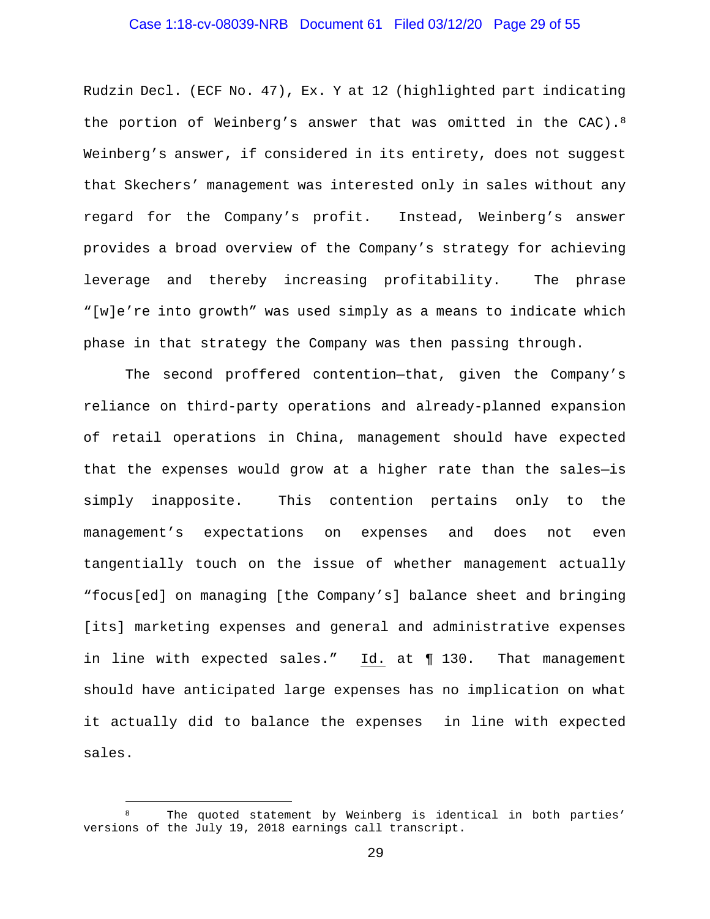## Case 1:18-cv-08039-NRB Document 61 Filed 03/12/20 Page 29 of 55

Rudzin Decl. (ECF No. 47), Ex. Y at 12 (highlighted part indicating the portion of Weinberg's answer that was omitted in the CAC).<sup>[8](#page-28-0)</sup> Weinberg's answer, if considered in its entirety, does not suggest that Skechers' management was interested only in sales without any regard for the Company's profit. Instead, Weinberg's answer provides a broad overview of the Company's strategy for achieving leverage and thereby increasing profitability. The phrase "[w]e're into growth" was used simply as a means to indicate which phase in that strategy the Company was then passing through.

The second proffered contention—that, given the Company's reliance on third-party operations and already-planned expansion of retail operations in China, management should have expected that the expenses would grow at a higher rate than the sales—is simply inapposite. This contention pertains only to the management's expectations on expenses and does not even tangentially touch on the issue of whether management actually "focus[ed] on managing [the Company's] balance sheet and bringing [its] marketing expenses and general and administrative expenses in line with expected sales." Id. at ¶ 130. That management should have anticipated large expenses has no implication on what it actually did to balance the expenses in line with expected sales.

<span id="page-28-0"></span>The quoted statement by Weinberg is identical in both parties' versions of the July 19, 2018 earnings call transcript.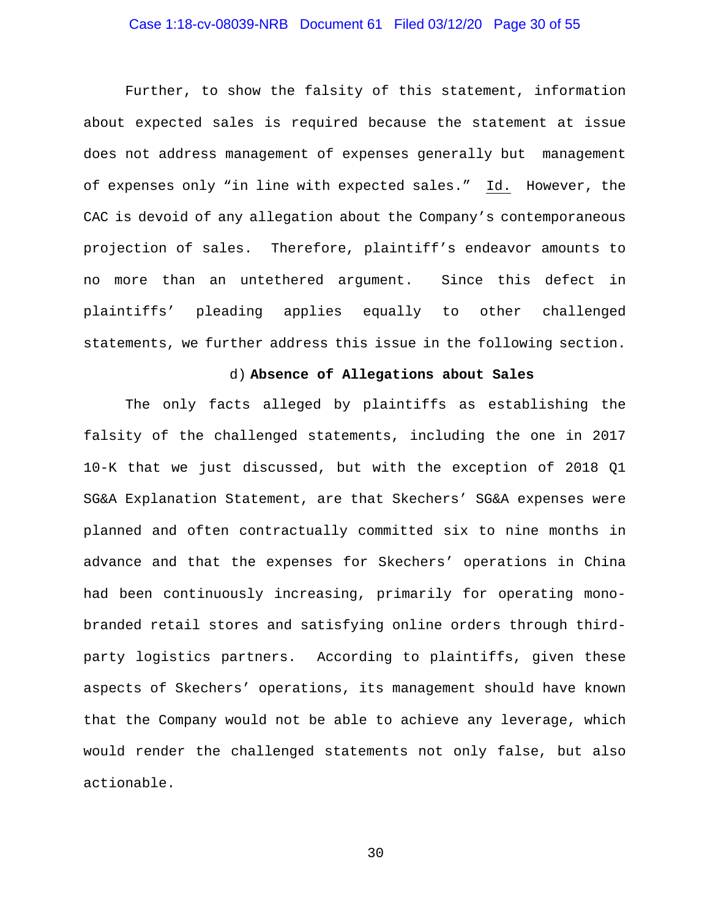# Case 1:18-cv-08039-NRB Document 61 Filed 03/12/20 Page 30 of 55

Further, to show the falsity of this statement, information about expected sales is required because the statement at issue does not address management of expenses generally but management of expenses only "in line with expected sales." Id. However, the CAC is devoid of any allegation about the Company's contemporaneous projection of sales. Therefore, plaintiff's endeavor amounts to no more than an untethered argument. Since this defect in plaintiffs' pleading applies equally to other challenged statements, we further address this issue in the following section.

#### d) **Absence of Allegations about Sales**

The only facts alleged by plaintiffs as establishing the falsity of the challenged statements, including the one in 2017 10-K that we just discussed, but with the exception of 2018 Q1 SG&A Explanation Statement, are that Skechers' SG&A expenses were planned and often contractually committed six to nine months in advance and that the expenses for Skechers' operations in China had been continuously increasing, primarily for operating monobranded retail stores and satisfying online orders through thirdparty logistics partners. According to plaintiffs, given these aspects of Skechers' operations, its management should have known that the Company would not be able to achieve any leverage, which would render the challenged statements not only false, but also actionable.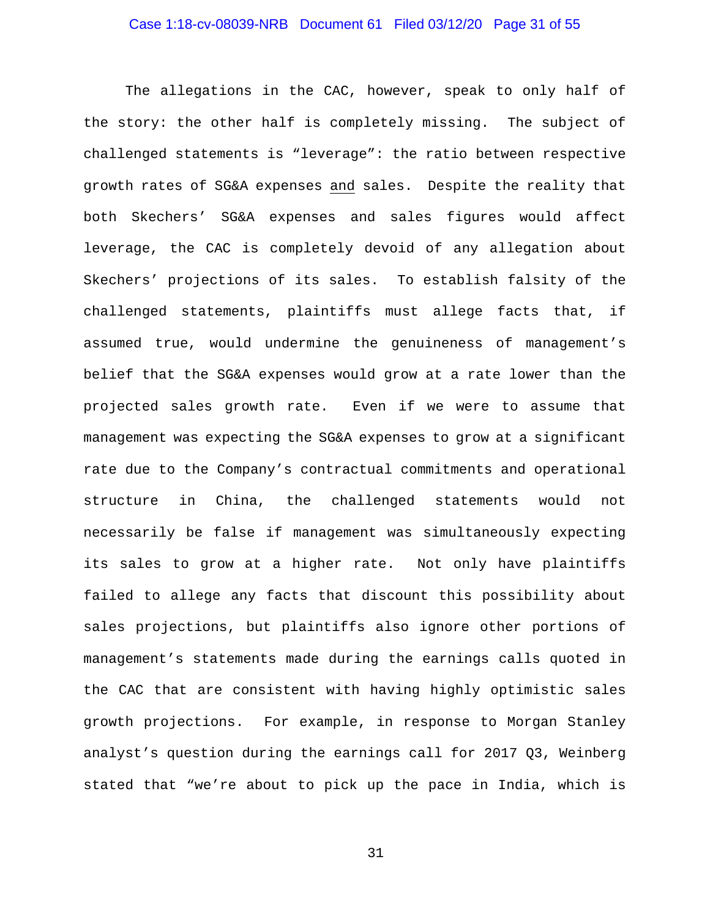## Case 1:18-cv-08039-NRB Document 61 Filed 03/12/20 Page 31 of 55

The allegations in the CAC, however, speak to only half of the story: the other half is completely missing. The subject of challenged statements is "leverage": the ratio between respective growth rates of SG&A expenses and sales. Despite the reality that both Skechers' SG&A expenses and sales figures would affect leverage, the CAC is completely devoid of any allegation about Skechers' projections of its sales. To establish falsity of the challenged statements, plaintiffs must allege facts that, if assumed true, would undermine the genuineness of management's belief that the SG&A expenses would grow at a rate lower than the projected sales growth rate. Even if we were to assume that management was expecting the SG&A expenses to grow at a significant rate due to the Company's contractual commitments and operational structure in China, the challenged statements would not necessarily be false if management was simultaneously expecting its sales to grow at a higher rate. Not only have plaintiffs failed to allege any facts that discount this possibility about sales projections, but plaintiffs also ignore other portions of management's statements made during the earnings calls quoted in the CAC that are consistent with having highly optimistic sales growth projections. For example, in response to Morgan Stanley analyst's question during the earnings call for 2017 Q3, Weinberg stated that "we're about to pick up the pace in India, which is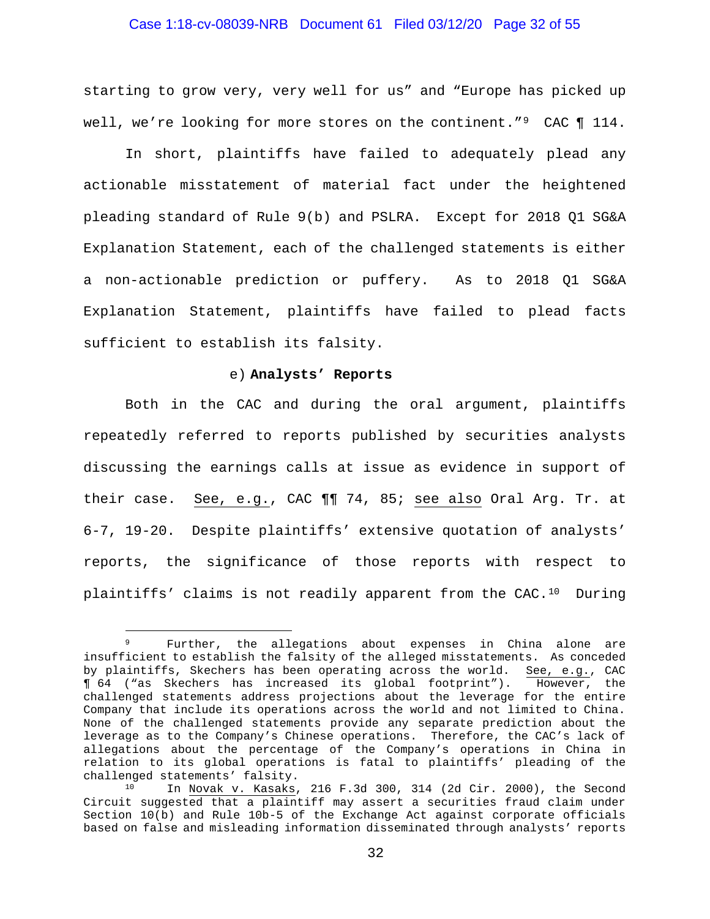## Case 1:18-cv-08039-NRB Document 61 Filed 03/12/20 Page 32 of 55

starting to grow very, very well for us" and "Europe has picked up well, we're looking for more stores on the continent."<sup>[9](#page-31-0)</sup> CAC ¶ 114.

In short, plaintiffs have failed to adequately plead any actionable misstatement of material fact under the heightened pleading standard of Rule 9(b) and PSLRA. Except for 2018 Q1 SG&A Explanation Statement, each of the challenged statements is either a non-actionable prediction or puffery. As to 2018 Q1 SG&A Explanation Statement, plaintiffs have failed to plead facts sufficient to establish its falsity.

#### e) **Analysts' Reports**

Both in the CAC and during the oral argument, plaintiffs repeatedly referred to reports published by securities analysts discussing the earnings calls at issue as evidence in support of their case. See, e.g., CAC ¶¶ 74, 85; see also Oral Arg. Tr. at 6-7, 19-20. Despite plaintiffs' extensive quotation of analysts' reports, the significance of those reports with respect to plaintiffs' claims is not readily apparent from the CAC.[10](#page-31-1) During

<span id="page-31-0"></span>Further, the allegations about expenses in China alone are insufficient to establish the falsity of the alleged misstatements. As conceded by plaintiffs, Skechers has been operating across the world. See, e.g., CAC<br> $\P$  64 ("as Skechers has increased its global footprint"). However, the ¶ 64 ("as Skechers has increased its global footprint"). However, the challenged statements address projections about the leverage for the entire Company that include its operations across the world and not limited to China. None of the challenged statements provide any separate prediction about the leverage as to the Company's Chinese operations. Therefore, the CAC's lack of allegations about the percentage of the Company's operations in China in relation to its global operations is fatal to plaintiffs' pleading of the

<span id="page-31-1"></span> $10$  In Novak v. Kasaks, 216 F.3d 300, 314 (2d Cir. 2000), the Second Circuit suggested that a plaintiff may assert a securities fraud claim under Section 10(b) and Rule 10b-5 of the Exchange Act against corporate officials based on false and misleading information disseminated through analysts' reports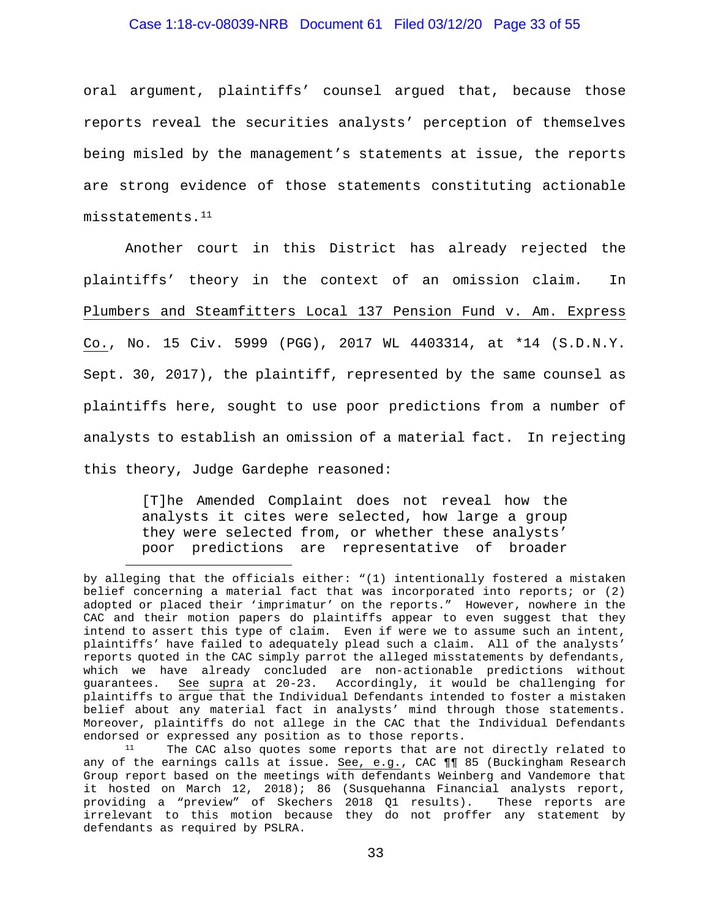## Case 1:18-cv-08039-NRB Document 61 Filed 03/12/20 Page 33 of 55

oral argument, plaintiffs' counsel argued that, because those reports reveal the securities analysts' perception of themselves being misled by the management's statements at issue, the reports are strong evidence of those statements constituting actionable misstatements.[11](#page-32-0)

Another court in this District has already rejected the plaintiffs' theory in the context of an omission claim. In Plumbers and Steamfitters Local 137 Pension Fund v. Am. Express Co., No. 15 Civ. 5999 (PGG), 2017 WL 4403314, at \*14 (S.D.N.Y. Sept. 30, 2017), the plaintiff, represented by the same counsel as plaintiffs here, sought to use poor predictions from a number of analysts to establish an omission of a material fact. In rejecting this theory, Judge Gardephe reasoned:

> [T]he Amended Complaint does not reveal how the analysts it cites were selected, how large a group they were selected from, or whether these analysts' poor predictions are representative of broader

by alleging that the officials either: "(1) intentionally fostered a mistaken belief concerning a material fact that was incorporated into reports; or (2) adopted or placed their 'imprimatur' on the reports." However, nowhere in the CAC and their motion papers do plaintiffs appear to even suggest that they intend to assert this type of claim. Even if were we to assume such an intent, plaintiffs' have failed to adequately plead such a claim. All of the analysts' reports quoted in the CAC simply parrot the alleged misstatements by defendants, which we have already concluded are non-actionable predictions without guarantees. See supra at 20-23. Accordingly, it would be challenging for plaintiffs to argue that the Individual Defendants intended to foster a mistaken belief about any material fact in analysts' mind through those statements. Moreover, plaintiffs do not allege in the CAC that the Individual Defendants<br>endorsed or expressed any position as to those reports.

<span id="page-32-0"></span> $11$  The CAC also quotes some reports that are not directly related to any of the earnings calls at issue. See, e.g., CAC ¶¶ 85 (Buckingham Research Group report based on the meetings with defendants Weinberg and Vandemore that it hosted on March 12, 2018); 86 (Susquehanna Financial analysts report, providing a "preview" of Skechers 2018 Q1 results). These reports are irrelevant to this motion because they do not proffer any statement by defendants as required by PSLRA.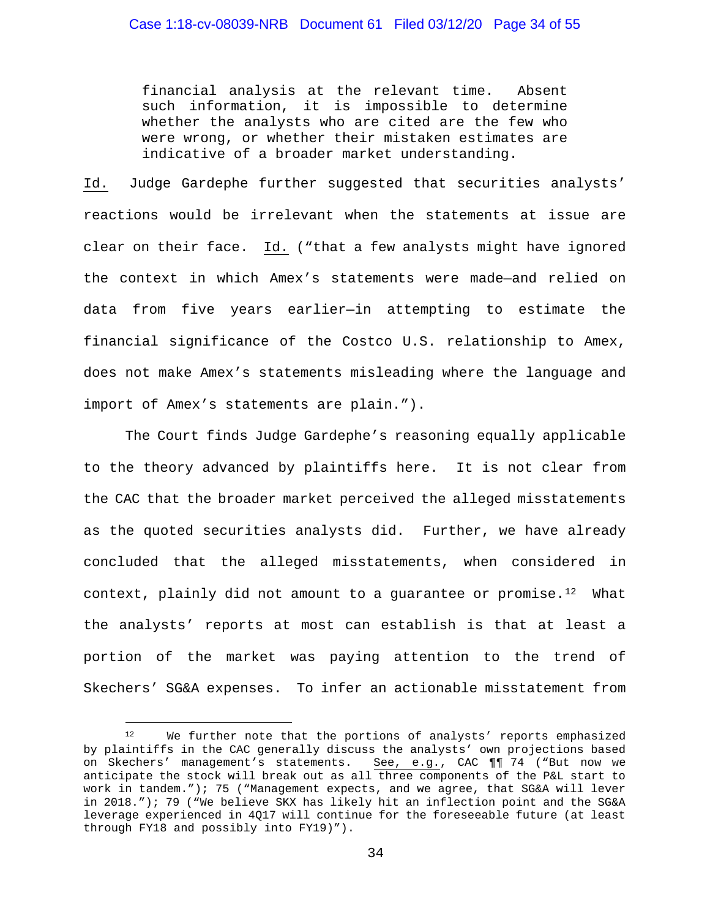financial analysis at the relevant time. Absent such information, it is impossible to determine whether the analysts who are cited are the few who were wrong, or whether their mistaken estimates are indicative of a broader market understanding.

Id. Judge Gardephe further suggested that securities analysts' reactions would be irrelevant when the statements at issue are clear on their face. Id. ("that a few analysts might have ignored the context in which Amex's statements were made—and relied on data from five years earlier—in attempting to estimate the financial significance of the Costco U.S. relationship to Amex, does not make Amex's statements misleading where the language and import of Amex's statements are plain.").

The Court finds Judge Gardephe's reasoning equally applicable to the theory advanced by plaintiffs here. It is not clear from the CAC that the broader market perceived the alleged misstatements as the quoted securities analysts did. Further, we have already concluded that the alleged misstatements, when considered in context, plainly did not amount to a quarantee or promise.<sup>[12](#page-33-0)</sup> What the analysts' reports at most can establish is that at least a portion of the market was paying attention to the trend of Skechers' SG&A expenses. To infer an actionable misstatement from

<span id="page-33-0"></span><sup>12</sup> We further note that the portions of analysts' reports emphasized by plaintiffs in the CAC generally discuss the analysts' own projections based on Skechers' management's statements. See, e.g., CAC ¶¶ 74 ("But now we anticipate the stock will break out as all three components of the P&L start to work in tandem."); 75 ("Management expects, and we agree, that SG&A will lever in 2018."); 79 ("We believe SKX has likely hit an inflection point and the SG&A leverage experienced in 4Q17 will continue for the foreseeable future (at least through FY18 and possibly into FY19)").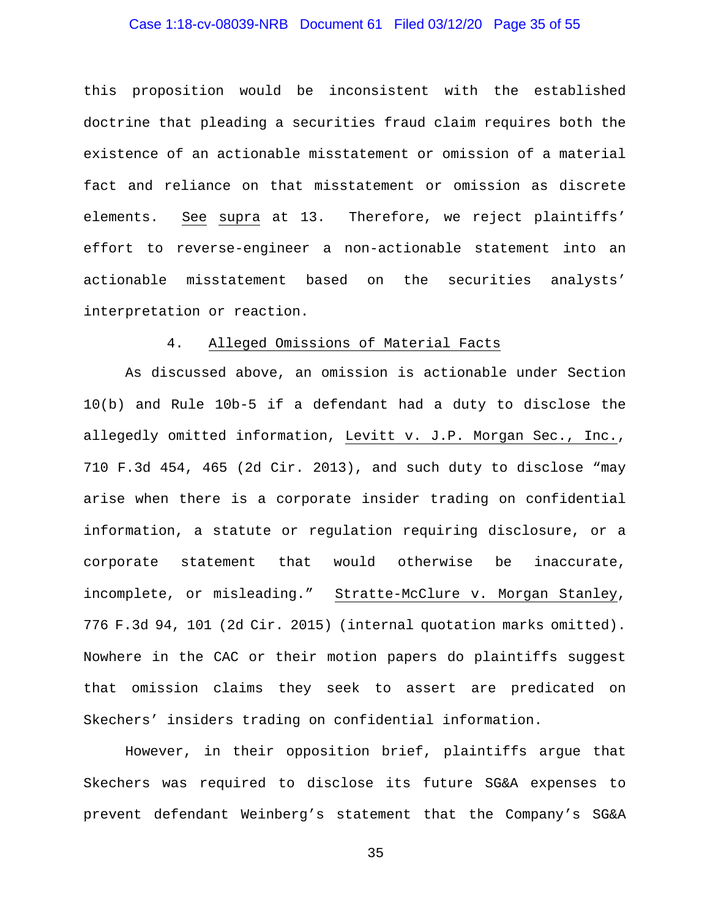## Case 1:18-cv-08039-NRB Document 61 Filed 03/12/20 Page 35 of 55

this proposition would be inconsistent with the established doctrine that pleading a securities fraud claim requires both the existence of an actionable misstatement or omission of a material fact and reliance on that misstatement or omission as discrete elements. See supra at 13. Therefore, we reject plaintiffs' effort to reverse-engineer a non-actionable statement into an actionable misstatement based on the securities analysts' interpretation or reaction.

#### 4. Alleged Omissions of Material Facts

As discussed above, an omission is actionable under Section 10(b) and Rule 10b-5 if a defendant had a duty to disclose the allegedly omitted information, Levitt v. J.P. Morgan Sec., Inc., 710 F.3d 454, 465 (2d Cir. 2013), and such duty to disclose "may arise when there is a corporate insider trading on confidential information, a statute or regulation requiring disclosure, or a corporate statement that would otherwise be inaccurate, incomplete, or misleading." Stratte-McClure v. Morgan Stanley, 776 F.3d 94, 101 (2d Cir. 2015) (internal quotation marks omitted). Nowhere in the CAC or their motion papers do plaintiffs suggest that omission claims they seek to assert are predicated on Skechers' insiders trading on confidential information.

However, in their opposition brief, plaintiffs argue that Skechers was required to disclose its future SG&A expenses to prevent defendant Weinberg's statement that the Company's SG&A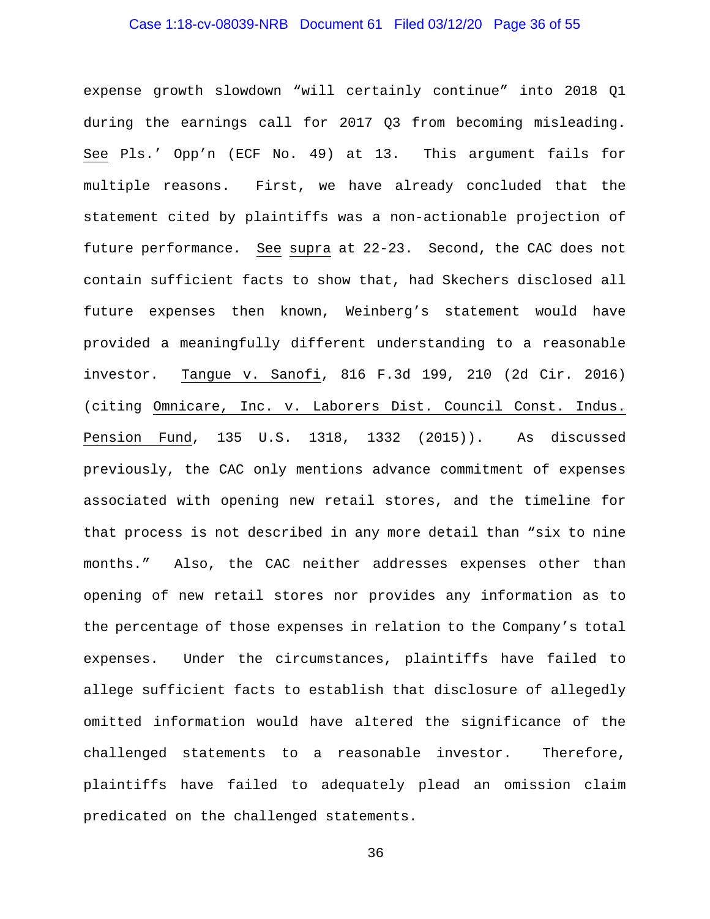# Case 1:18-cv-08039-NRB Document 61 Filed 03/12/20 Page 36 of 55

expense growth slowdown "will certainly continue" into 2018 Q1 during the earnings call for 2017 Q3 from becoming misleading. See Pls.' Opp'n (ECF No. 49) at 13. This argument fails for multiple reasons. First, we have already concluded that the statement cited by plaintiffs was a non-actionable projection of future performance. See supra at 22-23. Second, the CAC does not contain sufficient facts to show that, had Skechers disclosed all future expenses then known, Weinberg's statement would have provided a meaningfully different understanding to a reasonable investor. Tangue v. Sanofi, 816 F.3d 199, 210 (2d Cir. 2016) (citing Omnicare, Inc. v. Laborers Dist. Council Const. Indus. Pension Fund, 135 U.S. 1318, 1332 (2015)). As discussed previously, the CAC only mentions advance commitment of expenses associated with opening new retail stores, and the timeline for that process is not described in any more detail than "six to nine months." Also, the CAC neither addresses expenses other than opening of new retail stores nor provides any information as to the percentage of those expenses in relation to the Company's total expenses. Under the circumstances, plaintiffs have failed to allege sufficient facts to establish that disclosure of allegedly omitted information would have altered the significance of the challenged statements to a reasonable investor. Therefore, plaintiffs have failed to adequately plead an omission claim predicated on the challenged statements.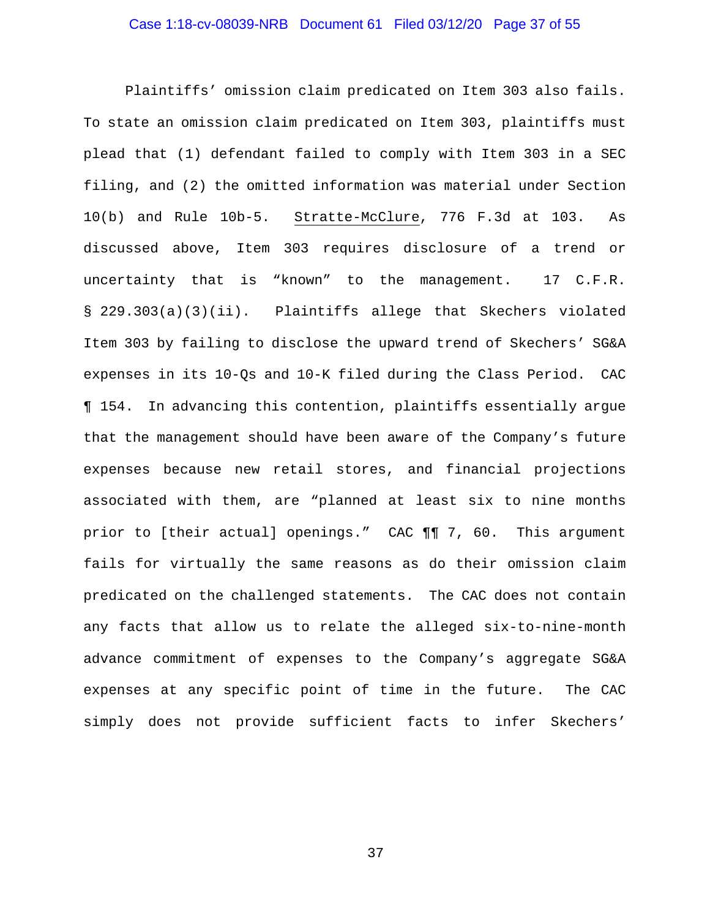## Case 1:18-cv-08039-NRB Document 61 Filed 03/12/20 Page 37 of 55

Plaintiffs' omission claim predicated on Item 303 also fails. To state an omission claim predicated on Item 303, plaintiffs must plead that (1) defendant failed to comply with Item 303 in a SEC filing, and (2) the omitted information was material under Section 10(b) and Rule 10b-5. Stratte-McClure, 776 F.3d at 103. As discussed above, Item 303 requires disclosure of a trend or uncertainty that is "known" to the management. 17 C.F.R. § 229.303(a)(3)(ii). Plaintiffs allege that Skechers violated Item 303 by failing to disclose the upward trend of Skechers' SG&A expenses in its 10-Qs and 10-K filed during the Class Period. CAC ¶ 154. In advancing this contention, plaintiffs essentially argue that the management should have been aware of the Company's future expenses because new retail stores, and financial projections associated with them, are "planned at least six to nine months prior to [their actual] openings." CAC ¶¶ 7, 60. This argument fails for virtually the same reasons as do their omission claim predicated on the challenged statements. The CAC does not contain any facts that allow us to relate the alleged six-to-nine-month advance commitment of expenses to the Company's aggregate SG&A expenses at any specific point of time in the future. The CAC simply does not provide sufficient facts to infer Skechers'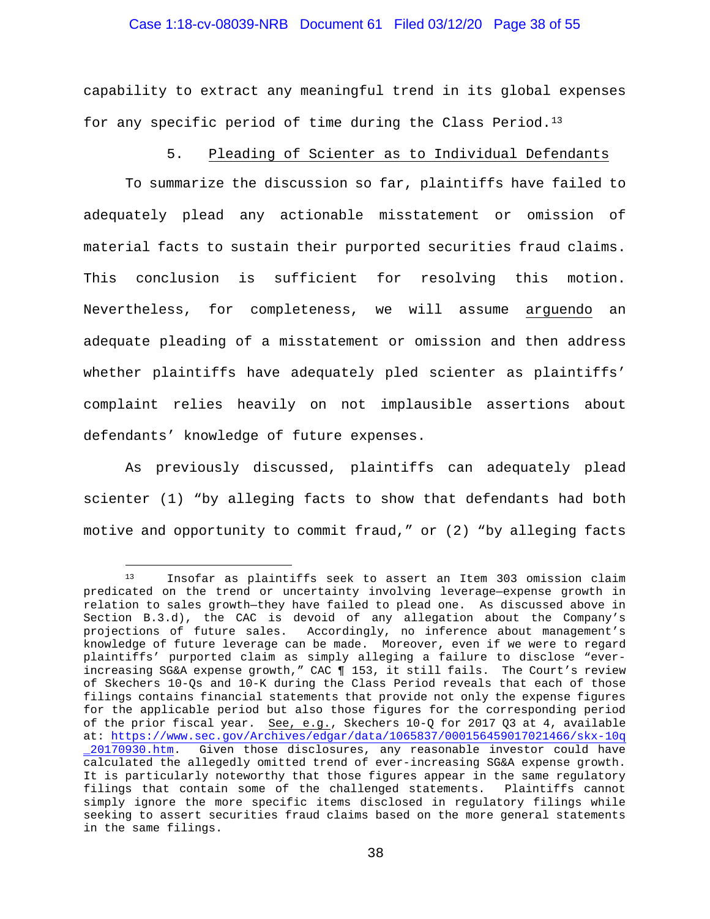## Case 1:18-cv-08039-NRB Document 61 Filed 03/12/20 Page 38 of 55

capability to extract any meaningful trend in its global expenses for any specific period of time during the Class Period.[13](#page-37-0)

## 5. Pleading of Scienter as to Individual Defendants

To summarize the discussion so far, plaintiffs have failed to adequately plead any actionable misstatement or omission of material facts to sustain their purported securities fraud claims. This conclusion is sufficient for resolving this motion. Nevertheless, for completeness, we will assume arguendo an adequate pleading of a misstatement or omission and then address whether plaintiffs have adequately pled scienter as plaintiffs' complaint relies heavily on not implausible assertions about defendants' knowledge of future expenses.

As previously discussed, plaintiffs can adequately plead scienter (1) "by alleging facts to show that defendants had both motive and opportunity to commit fraud," or (2) "by alleging facts

<span id="page-37-0"></span><sup>13</sup> Insofar as plaintiffs seek to assert an Item 303 omission claim predicated on the trend or uncertainty involving leverage—expense growth in relation to sales growth—they have failed to plead one. As discussed above in Section B.3.d), the CAC is devoid of any allegation about the Company's<br>projections of future sales. Accordingly, no inference about management's Accordingly, no inference about management's knowledge of future leverage can be made. Moreover, even if we were to regard plaintiffs' purported claim as simply alleging a failure to disclose "everincreasing SG&A expense growth," CAC ¶ 153, it still fails. The Court's review of Skechers 10-Qs and 10-K during the Class Period reveals that each of those filings contains financial statements that provide not only the expense figures for the applicable period but also those figures for the corresponding period of the prior fiscal year. See, e.g., Skechers 10-Q for 2017 Q3 at 4, available at: [https://www.sec.gov/Archives/edgar/data/1065837/000156459017021466/skx-10q](https://www.sec.gov/Archives/edgar/data/1065837/000156459017021466/skx-10q_20170930.htm) [\\_20170930.htm.](https://www.sec.gov/Archives/edgar/data/1065837/000156459017021466/skx-10q_20170930.htm) Given those disclosures, any reasonable investor could have calculated the allegedly omitted trend of ever-increasing SG&A expense growth. It is particularly noteworthy that those figures appear in the same regulatory filings that contain some of the challenged statements. Plaintiffs cannot simply ignore the more specific items disclosed in regulatory filings while seeking to assert securities fraud claims based on the more general statements in the same filings.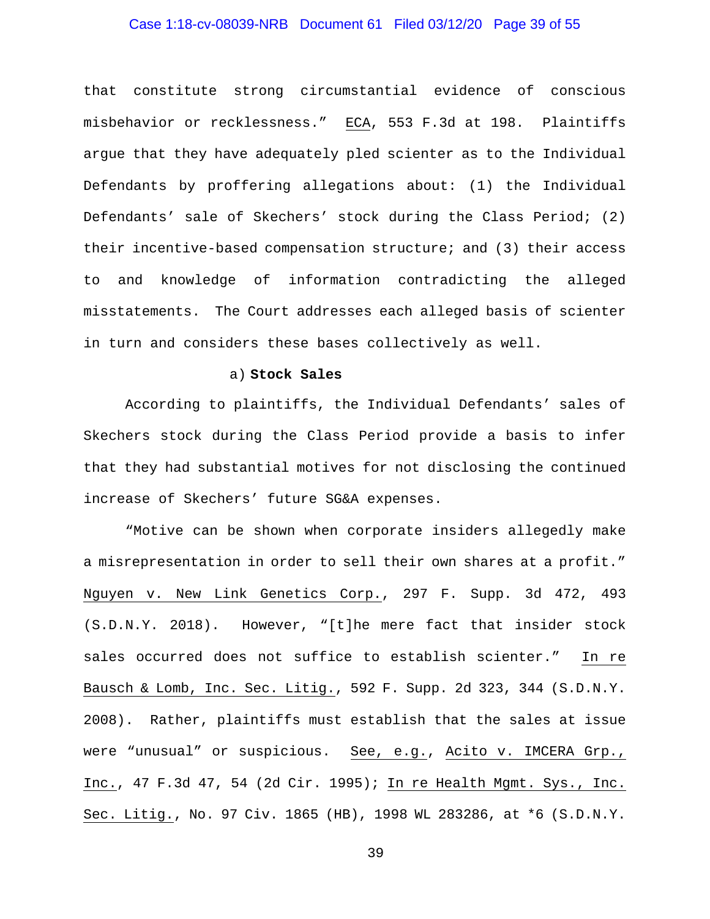## Case 1:18-cv-08039-NRB Document 61 Filed 03/12/20 Page 39 of 55

that constitute strong circumstantial evidence of conscious misbehavior or recklessness." ECA, 553 F.3d at 198. Plaintiffs argue that they have adequately pled scienter as to the Individual Defendants by proffering allegations about: (1) the Individual Defendants' sale of Skechers' stock during the Class Period; (2) their incentive-based compensation structure; and (3) their access to and knowledge of information contradicting the alleged misstatements. The Court addresses each alleged basis of scienter in turn and considers these bases collectively as well.

#### a) **Stock Sales**

According to plaintiffs, the Individual Defendants' sales of Skechers stock during the Class Period provide a basis to infer that they had substantial motives for not disclosing the continued increase of Skechers' future SG&A expenses.

"Motive can be shown when corporate insiders allegedly make a misrepresentation in order to sell their own shares at a profit." Nguyen v. New Link Genetics Corp., 297 F. Supp. 3d 472, 493 (S.D.N.Y. 2018). However, "[t]he mere fact that insider stock sales occurred does not suffice to establish scienter." In re Bausch & Lomb, Inc. Sec. Litig., 592 F. Supp. 2d 323, 344 (S.D.N.Y. 2008). Rather, plaintiffs must establish that the sales at issue were "unusual" or suspicious. See, e.g., Acito v. IMCERA Grp., Inc., 47 F.3d 47, 54 (2d Cir. 1995); In re Health Mgmt. Sys., Inc. Sec. Litig., No. 97 Civ. 1865 (HB), 1998 WL 283286, at \*6 (S.D.N.Y.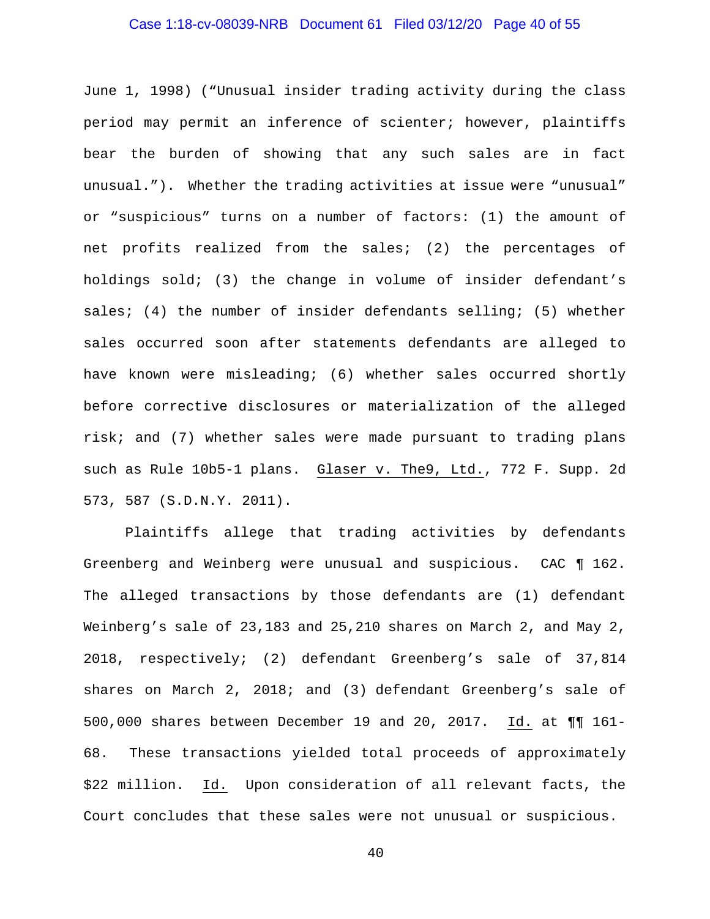## Case 1:18-cv-08039-NRB Document 61 Filed 03/12/20 Page 40 of 55

June 1, 1998) ("Unusual insider trading activity during the class period may permit an inference of scienter; however, plaintiffs bear the burden of showing that any such sales are in fact unusual."). Whether the trading activities at issue were "unusual" or "suspicious" turns on a number of factors: (1) the amount of net profits realized from the sales; (2) the percentages of holdings sold; (3) the change in volume of insider defendant's sales; (4) the number of insider defendants selling; (5) whether sales occurred soon after statements defendants are alleged to have known were misleading; (6) whether sales occurred shortly before corrective disclosures or materialization of the alleged risk; and (7) whether sales were made pursuant to trading plans such as Rule 10b5-1 plans. Glaser v. The9, Ltd., 772 F. Supp. 2d 573, 587 (S.D.N.Y. 2011).

Plaintiffs allege that trading activities by defendants Greenberg and Weinberg were unusual and suspicious. CAC ¶ 162. The alleged transactions by those defendants are (1) defendant Weinberg's sale of 23,183 and 25,210 shares on March 2, and May 2, 2018, respectively; (2) defendant Greenberg's sale of 37,814 shares on March 2, 2018; and (3) defendant Greenberg's sale of 500,000 shares between December 19 and 20, 2017. Id. at ¶¶ 161- 68. These transactions yielded total proceeds of approximately \$22 million. Id. Upon consideration of all relevant facts, the Court concludes that these sales were not unusual or suspicious.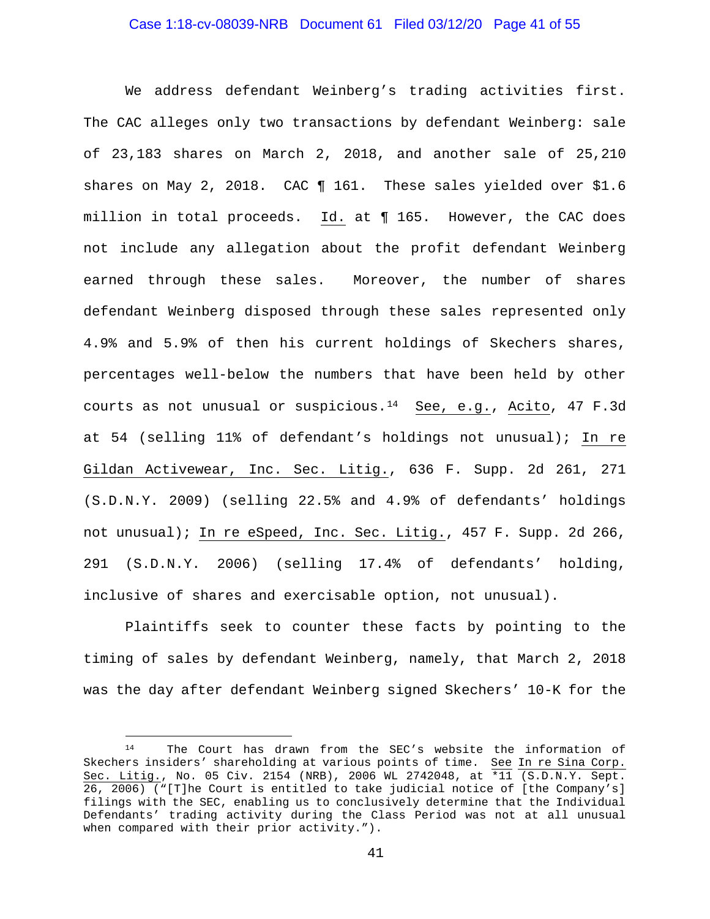## Case 1:18-cv-08039-NRB Document 61 Filed 03/12/20 Page 41 of 55

We address defendant Weinberg's trading activities first. The CAC alleges only two transactions by defendant Weinberg: sale of 23,183 shares on March 2, 2018, and another sale of 25,210 shares on May 2, 2018. CAC ¶ 161. These sales yielded over \$1.6 million in total proceeds. Id. at ¶ 165. However, the CAC does not include any allegation about the profit defendant Weinberg earned through these sales. Moreover, the number of shares defendant Weinberg disposed through these sales represented only 4.9% and 5.9% of then his current holdings of Skechers shares, percentages well-below the numbers that have been held by other courts as not unusual or suspicious.[14](#page-40-0) See, e.g., Acito, 47 F.3d at 54 (selling 11% of defendant's holdings not unusual); In re Gildan Activewear, Inc. Sec. Litig., 636 F. Supp. 2d 261, 271 (S.D.N.Y. 2009) (selling 22.5% and 4.9% of defendants' holdings not unusual); In re eSpeed, Inc. Sec. Litig., 457 F. Supp. 2d 266, 291 (S.D.N.Y. 2006) (selling 17.4% of defendants' holding, inclusive of shares and exercisable option, not unusual).

Plaintiffs seek to counter these facts by pointing to the timing of sales by defendant Weinberg, namely, that March 2, 2018 was the day after defendant Weinberg signed Skechers' 10-K for the

<span id="page-40-0"></span><sup>14</sup> The Court has drawn from the SEC's website the information of Skechers insiders' shareholding at various points of time. See In re Sina Corp. Sec. Litig., No. 05 Civ. 2154 (NRB), 2006 WL 2742048, at \*11 (S.D.N.Y. Sept. 26, 2006) ("[T]he Court is entitled to take judicial notice of [the Company's] filings with the SEC, enabling us to conclusively determine that the Individual Defendants' trading activity during the Class Period was not at all unusual when compared with their prior activity.").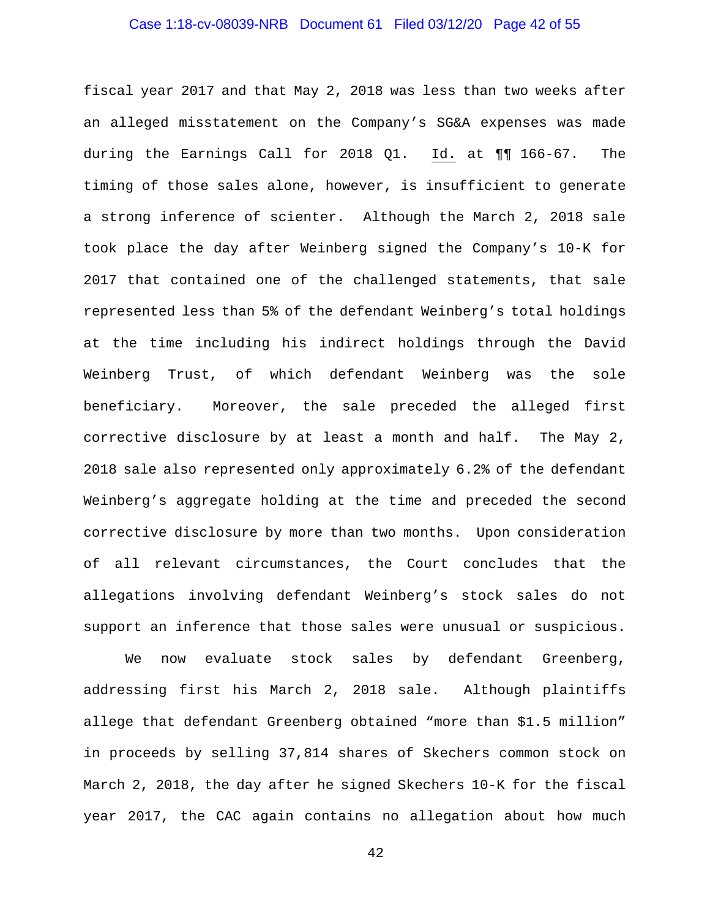## Case 1:18-cv-08039-NRB Document 61 Filed 03/12/20 Page 42 of 55

fiscal year 2017 and that May 2, 2018 was less than two weeks after an alleged misstatement on the Company's SG&A expenses was made during the Earnings Call for 2018 Q1. Id. at ¶¶ 166-67. The timing of those sales alone, however, is insufficient to generate a strong inference of scienter. Although the March 2, 2018 sale took place the day after Weinberg signed the Company's 10-K for 2017 that contained one of the challenged statements, that sale represented less than 5% of the defendant Weinberg's total holdings at the time including his indirect holdings through the David Weinberg Trust, of which defendant Weinberg was the sole beneficiary. Moreover, the sale preceded the alleged first corrective disclosure by at least a month and half. The May 2, 2018 sale also represented only approximately 6.2% of the defendant Weinberg's aggregate holding at the time and preceded the second corrective disclosure by more than two months. Upon consideration of all relevant circumstances, the Court concludes that the allegations involving defendant Weinberg's stock sales do not support an inference that those sales were unusual or suspicious.

We now evaluate stock sales by defendant Greenberg, addressing first his March 2, 2018 sale. Although plaintiffs allege that defendant Greenberg obtained "more than \$1.5 million" in proceeds by selling 37,814 shares of Skechers common stock on March 2, 2018, the day after he signed Skechers 10-K for the fiscal year 2017, the CAC again contains no allegation about how much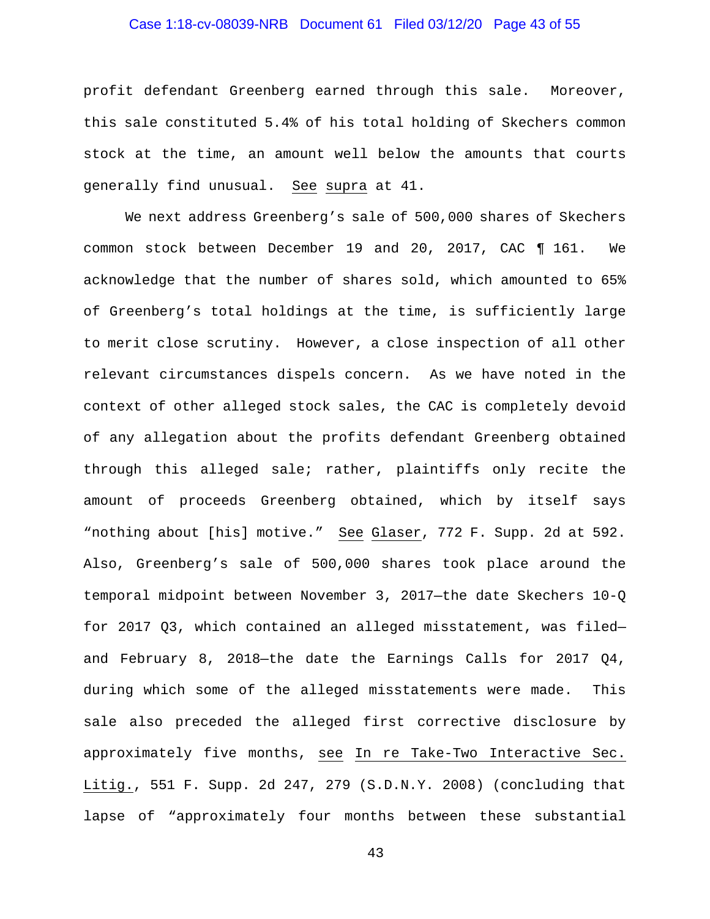## Case 1:18-cv-08039-NRB Document 61 Filed 03/12/20 Page 43 of 55

profit defendant Greenberg earned through this sale. Moreover, this sale constituted 5.4% of his total holding of Skechers common stock at the time, an amount well below the amounts that courts generally find unusual. See supra at 41.

We next address Greenberg's sale of 500,000 shares of Skechers common stock between December 19 and 20, 2017, CAC ¶ 161. We acknowledge that the number of shares sold, which amounted to 65% of Greenberg's total holdings at the time, is sufficiently large to merit close scrutiny. However, a close inspection of all other relevant circumstances dispels concern. As we have noted in the context of other alleged stock sales, the CAC is completely devoid of any allegation about the profits defendant Greenberg obtained through this alleged sale; rather, plaintiffs only recite the amount of proceeds Greenberg obtained, which by itself says "nothing about [his] motive." See Glaser, 772 F. Supp. 2d at 592. Also, Greenberg's sale of 500,000 shares took place around the temporal midpoint between November 3, 2017—the date Skechers 10-Q for 2017 Q3, which contained an alleged misstatement, was filed and February 8, 2018—the date the Earnings Calls for 2017 Q4, during which some of the alleged misstatements were made. This sale also preceded the alleged first corrective disclosure by approximately five months, see In re Take-Two Interactive Sec. Litig., 551 F. Supp. 2d 247, 279 (S.D.N.Y. 2008) (concluding that lapse of "approximately four months between these substantial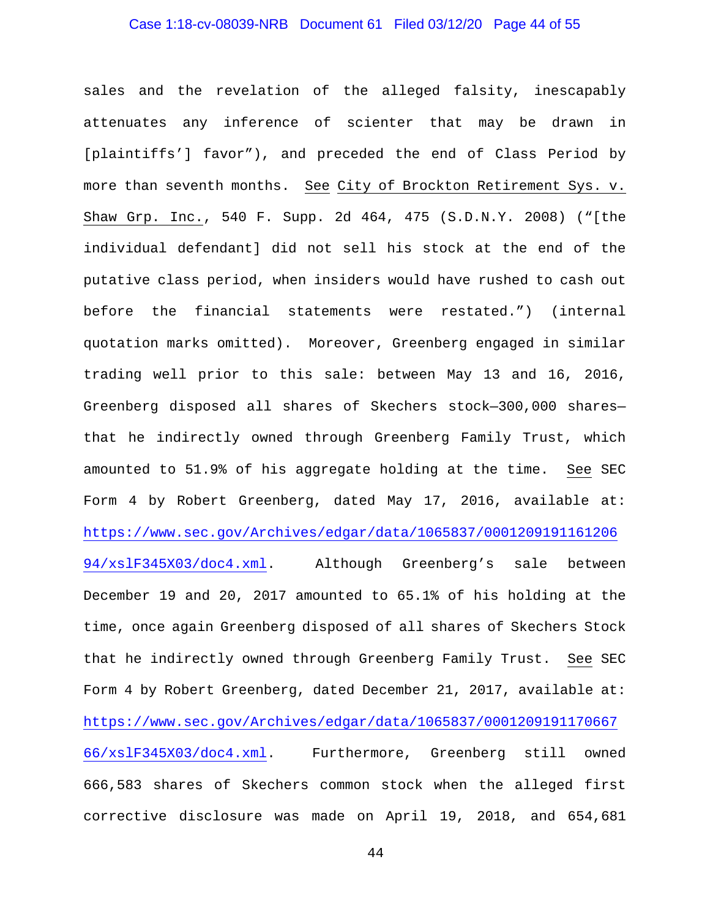## Case 1:18-cv-08039-NRB Document 61 Filed 03/12/20 Page 44 of 55

sales and the revelation of the alleged falsity, inescapably attenuates any inference of scienter that may be drawn in [plaintiffs'] favor"), and preceded the end of Class Period by more than seventh months. See City of Brockton Retirement Sys. v. Shaw Grp. Inc., 540 F. Supp. 2d 464, 475 (S.D.N.Y. 2008) ("[the individual defendant] did not sell his stock at the end of the putative class period, when insiders would have rushed to cash out before the financial statements were restated.") (internal quotation marks omitted). Moreover, Greenberg engaged in similar trading well prior to this sale: between May 13 and 16, 2016, Greenberg disposed all shares of Skechers stock—300,000 shares that he indirectly owned through Greenberg Family Trust, which amounted to 51.9% of his aggregate holding at the time. See SEC Form 4 by Robert Greenberg, dated May 17, 2016, available at: [https://www.sec.gov/Archives/edgar/data/1065837/0001209191161206](https://www.sec.gov/Archives/edgar/data/1065837/000120919116120694/xslF345X03/doc4.xml) [94/xslF345X03/doc4.xml.](https://www.sec.gov/Archives/edgar/data/1065837/000120919116120694/xslF345X03/doc4.xml) Although Greenberg's sale between December 19 and 20, 2017 amounted to 65.1% of his holding at the time, once again Greenberg disposed of all shares of Skechers Stock that he indirectly owned through Greenberg Family Trust. See SEC Form 4 by Robert Greenberg, dated December 21, 2017, available at: [https://www.sec.gov/Archives/edgar/data/1065837/0001209191170667](https://www.sec.gov/Archives/edgar/data/1065837/000120919117066766/xslF345X03/doc4.xml) [66/xslF345X03/doc4.xml.](https://www.sec.gov/Archives/edgar/data/1065837/000120919117066766/xslF345X03/doc4.xml) Furthermore, Greenberg still owned 666,583 shares of Skechers common stock when the alleged first corrective disclosure was made on April 19, 2018, and 654,681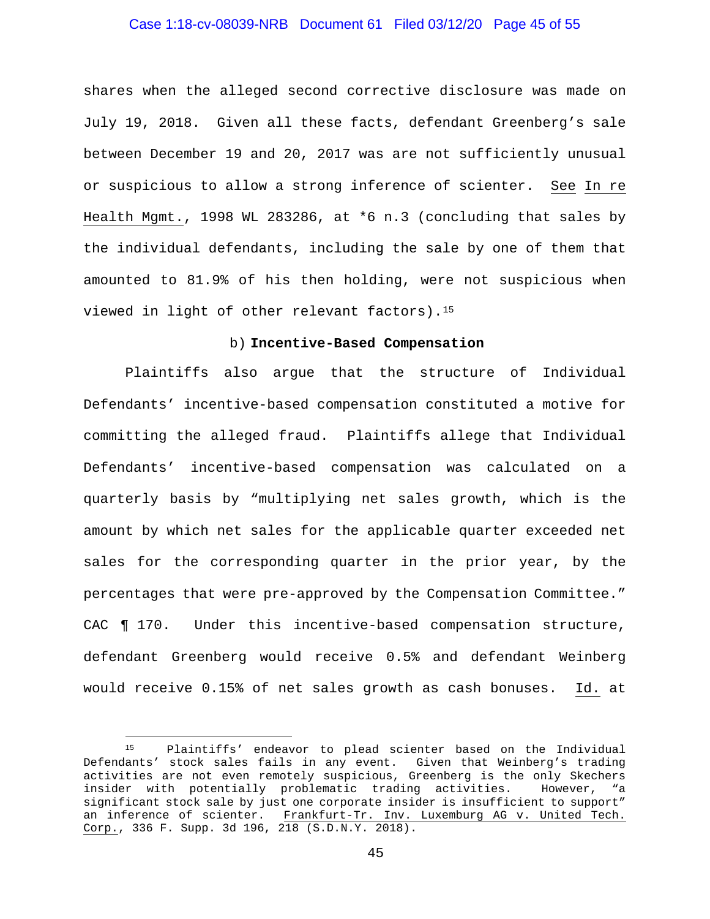## Case 1:18-cv-08039-NRB Document 61 Filed 03/12/20 Page 45 of 55

shares when the alleged second corrective disclosure was made on July 19, 2018. Given all these facts, defendant Greenberg's sale between December 19 and 20, 2017 was are not sufficiently unusual or suspicious to allow a strong inference of scienter. See In re Health Mgmt., 1998 WL 283286, at \*6 n.3 (concluding that sales by the individual defendants, including the sale by one of them that amounted to 81.9% of his then holding, were not suspicious when viewed in light of other relevant factors).[15](#page-44-0) 

#### b) **Incentive-Based Compensation**

Plaintiffs also argue that the structure of Individual Defendants' incentive-based compensation constituted a motive for committing the alleged fraud. Plaintiffs allege that Individual Defendants' incentive-based compensation was calculated on a quarterly basis by "multiplying net sales growth, which is the amount by which net sales for the applicable quarter exceeded net sales for the corresponding quarter in the prior year, by the percentages that were pre-approved by the Compensation Committee." CAC ¶ 170. Under this incentive-based compensation structure, defendant Greenberg would receive 0.5% and defendant Weinberg would receive 0.15% of net sales growth as cash bonuses. Id. at

<span id="page-44-0"></span><sup>15</sup> Plaintiffs' endeavor to plead scienter based on the Individual Defendants' stock sales fails in any event. Given that Weinberg's trading activities are not even remotely suspicious, Greenberg is the only Skechers insider with potentially problematic trading activities. However, "a significant stock sale by just one corporate insider is insufficient to support" an inference of scienter. Frankfurt-Tr. Inv. Luxemburg AG v. United Tech. Corp., 336 F. Supp. 3d 196, 218 (S.D.N.Y. 2018).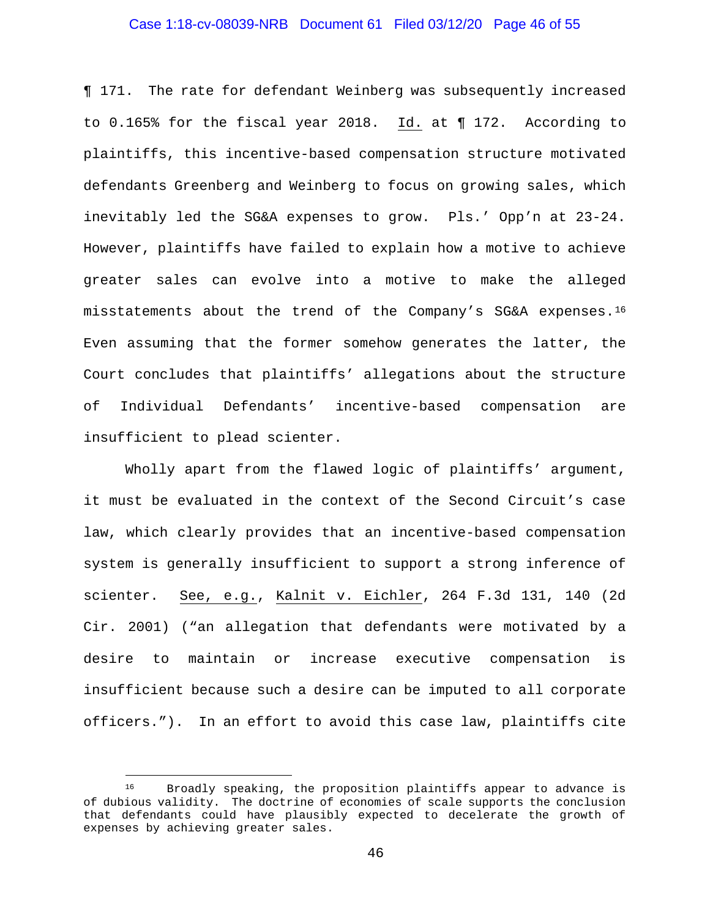## Case 1:18-cv-08039-NRB Document 61 Filed 03/12/20 Page 46 of 55

¶ 171. The rate for defendant Weinberg was subsequently increased to 0.165% for the fiscal year 2018. Id. at ¶ 172. According to plaintiffs, this incentive-based compensation structure motivated defendants Greenberg and Weinberg to focus on growing sales, which inevitably led the SG&A expenses to grow. Pls.' Opp'n at 23-24. However, plaintiffs have failed to explain how a motive to achieve greater sales can evolve into a motive to make the alleged misstatements about the trend of the Company's SG&A expenses.[16](#page-45-0) Even assuming that the former somehow generates the latter, the Court concludes that plaintiffs' allegations about the structure of Individual Defendants' incentive-based compensation are insufficient to plead scienter.

Wholly apart from the flawed logic of plaintiffs' argument, it must be evaluated in the context of the Second Circuit's case law, which clearly provides that an incentive-based compensation system is generally insufficient to support a strong inference of scienter. See, e.g., Kalnit v. Eichler, 264 F.3d 131, 140 (2d Cir. 2001) ("an allegation that defendants were motivated by a desire to maintain or increase executive compensation is insufficient because such a desire can be imputed to all corporate officers."). In an effort to avoid this case law, plaintiffs cite

<span id="page-45-0"></span><sup>&</sup>lt;sup>16</sup> Broadly speaking, the proposition plaintiffs appear to advance is of dubious validity. The doctrine of economies of scale supports the conclusion that defendants could have plausibly expected to decelerate the growth of expenses by achieving greater sales.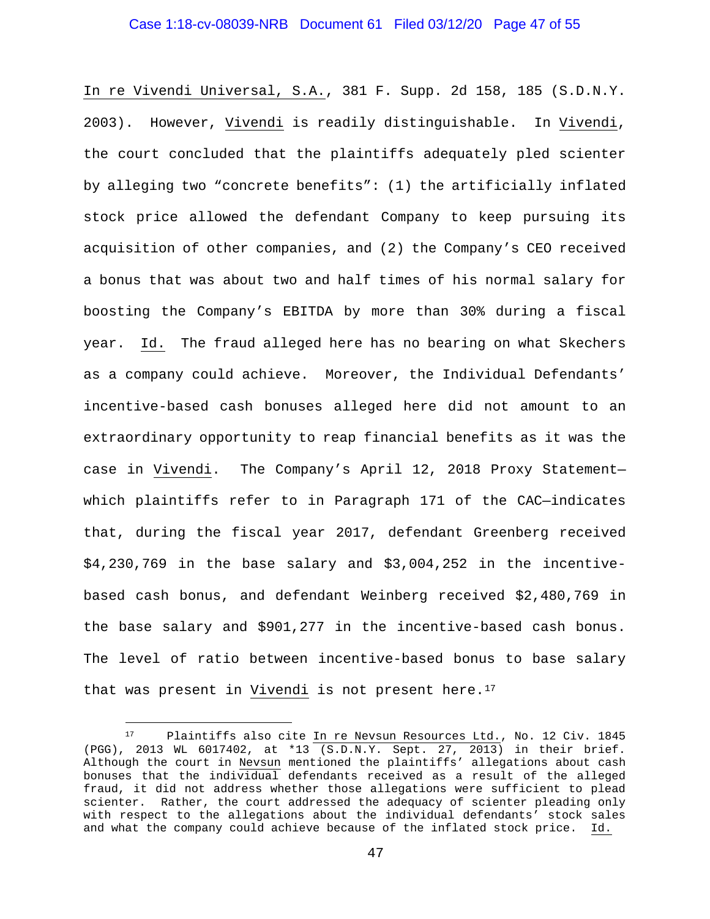## Case 1:18-cv-08039-NRB Document 61 Filed 03/12/20 Page 47 of 55

In re Vivendi Universal, S.A., 381 F. Supp. 2d 158, 185 (S.D.N.Y. 2003). However, Vivendi is readily distinguishable. In Vivendi, the court concluded that the plaintiffs adequately pled scienter by alleging two "concrete benefits": (1) the artificially inflated stock price allowed the defendant Company to keep pursuing its acquisition of other companies, and (2) the Company's CEO received a bonus that was about two and half times of his normal salary for boosting the Company's EBITDA by more than 30% during a fiscal year. Id. The fraud alleged here has no bearing on what Skechers as a company could achieve. Moreover, the Individual Defendants' incentive-based cash bonuses alleged here did not amount to an extraordinary opportunity to reap financial benefits as it was the case in Vivendi. The Company's April 12, 2018 Proxy Statement which plaintiffs refer to in Paragraph 171 of the CAC—indicates that, during the fiscal year 2017, defendant Greenberg received \$4,230,769 in the base salary and \$3,004,252 in the incentivebased cash bonus, and defendant Weinberg received \$2,480,769 in the base salary and \$901,277 in the incentive-based cash bonus. The level of ratio between incentive-based bonus to base salary that was present in Vivendi is not present here.<sup>17</sup>

<span id="page-46-0"></span><sup>17</sup> Plaintiffs also cite In re Nevsun Resources Ltd., No. 12 Civ. 1845 (PGG), 2013 WL 6017402, at \*13 (S.D.N.Y. Sept. 27, 2013) in their brief. Although the court in Nevsun mentioned the plaintiffs' allegations about cash bonuses that the individual defendants received as a result of the alleged fraud, it did not address whether those allegations were sufficient to plead scienter. Rather, the court addressed the adequacy of scienter pleading only with respect to the allegations about the individual defendants' stock sales and what the company could achieve because of the inflated stock price. Id.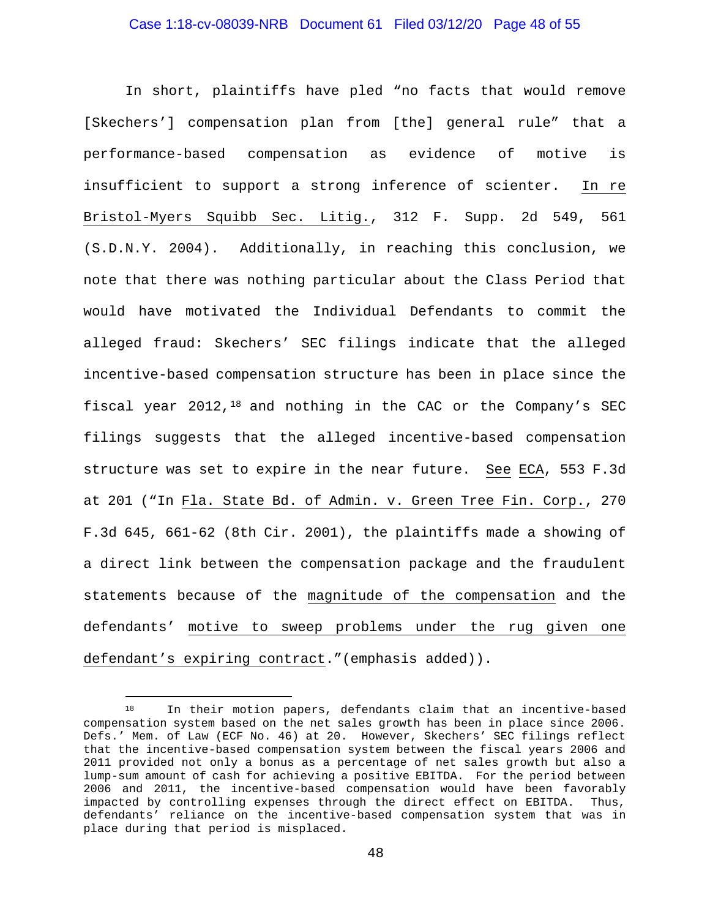## Case 1:18-cv-08039-NRB Document 61 Filed 03/12/20 Page 48 of 55

In short, plaintiffs have pled "no facts that would remove [Skechers'] compensation plan from [the] general rule" that a performance-based compensation as evidence of motive is insufficient to support a strong inference of scienter. In re Bristol-Myers Squibb Sec. Litig., 312 F. Supp. 2d 549, 561 (S.D.N.Y. 2004). Additionally, in reaching this conclusion, we note that there was nothing particular about the Class Period that would have motivated the Individual Defendants to commit the alleged fraud: Skechers' SEC filings indicate that the alleged incentive-based compensation structure has been in place since the fiscal year 2012,[18](#page-47-0) and nothing in the CAC or the Company's SEC filings suggests that the alleged incentive-based compensation structure was set to expire in the near future. See ECA, 553 F.3d at 201 ("In Fla. State Bd. of Admin. v. Green Tree Fin. Corp., 270 F.3d 645, 661-62 (8th Cir. 2001), the plaintiffs made a showing of a direct link between the compensation package and the fraudulent statements because of the magnitude of the compensation and the defendants' motive to sweep problems under the rug given one defendant's expiring contract."(emphasis added)).

<span id="page-47-0"></span><sup>18</sup> In their motion papers, defendants claim that an incentive-based compensation system based on the net sales growth has been in place since 2006. Defs.' Mem. of Law (ECF No. 46) at 20. However, Skechers' SEC filings reflect that the incentive-based compensation system between the fiscal years 2006 and 2011 provided not only a bonus as a percentage of net sales growth but also a lump-sum amount of cash for achieving a positive EBITDA. For the period between 2006 and 2011, the incentive-based compensation would have been favorably impacted by controlling expenses through the direct effect on EBITDA. Thus, defendants' reliance on the incentive-based compensation system that was in place during that period is misplaced.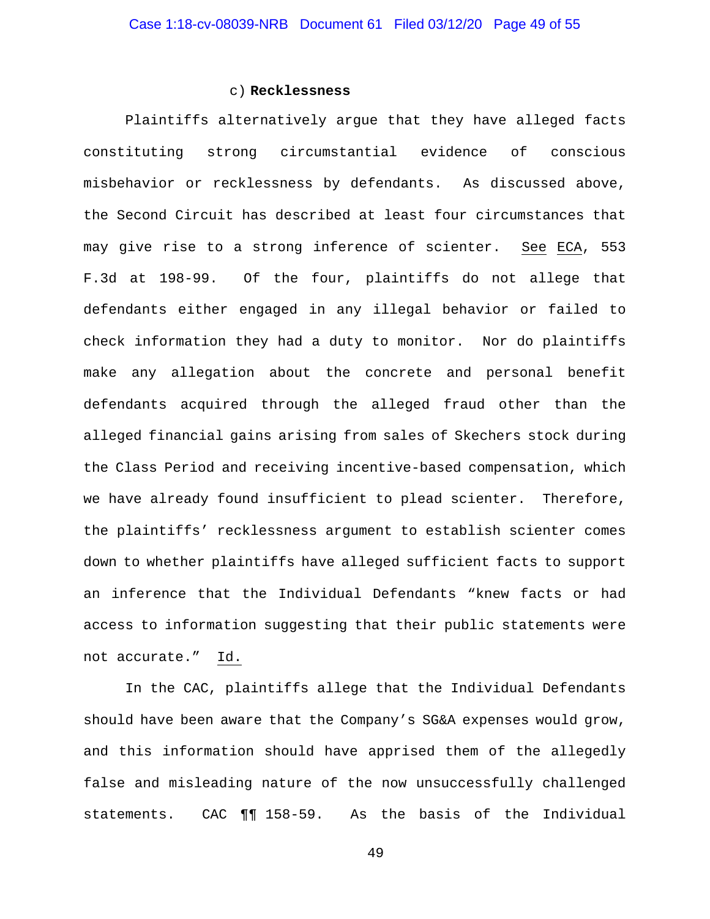#### c) **Recklessness**

Plaintiffs alternatively argue that they have alleged facts constituting strong circumstantial evidence of conscious misbehavior or recklessness by defendants. As discussed above, the Second Circuit has described at least four circumstances that may give rise to a strong inference of scienter. See ECA, 553 F.3d at 198-99. Of the four, plaintiffs do not allege that defendants either engaged in any illegal behavior or failed to check information they had a duty to monitor. Nor do plaintiffs make any allegation about the concrete and personal benefit defendants acquired through the alleged fraud other than the alleged financial gains arising from sales of Skechers stock during the Class Period and receiving incentive-based compensation, which we have already found insufficient to plead scienter. Therefore, the plaintiffs' recklessness argument to establish scienter comes down to whether plaintiffs have alleged sufficient facts to support an inference that the Individual Defendants "knew facts or had access to information suggesting that their public statements were not accurate." Id.

In the CAC, plaintiffs allege that the Individual Defendants should have been aware that the Company's SG&A expenses would grow, and this information should have apprised them of the allegedly false and misleading nature of the now unsuccessfully challenged statements. CAC ¶¶ 158-59. As the basis of the Individual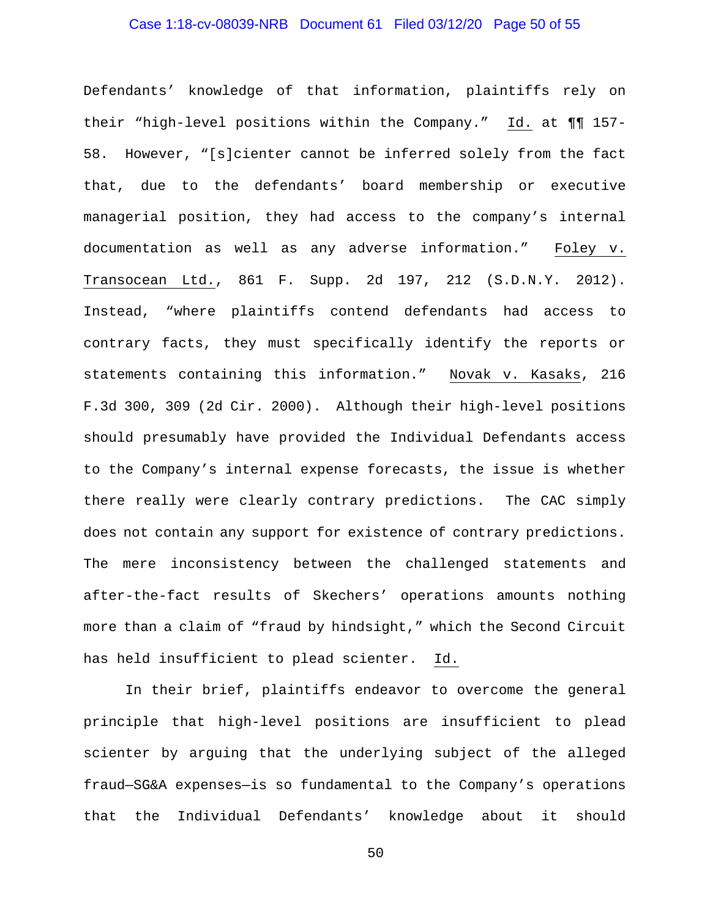## Case 1:18-cv-08039-NRB Document 61 Filed 03/12/20 Page 50 of 55

Defendants' knowledge of that information, plaintiffs rely on their "high-level positions within the Company." Id. at ¶¶ 157- 58. However, "[s]cienter cannot be inferred solely from the fact that, due to the defendants' board membership or executive managerial position, they had access to the company's internal documentation as well as any adverse information." Foley v. Transocean Ltd., 861 F. Supp. 2d 197, 212 (S.D.N.Y. 2012). Instead, "where plaintiffs contend defendants had access to contrary facts, they must specifically identify the reports or statements containing this information." Novak v. Kasaks, 216 F.3d 300, 309 (2d Cir. 2000). Although their high-level positions should presumably have provided the Individual Defendants access to the Company's internal expense forecasts, the issue is whether there really were clearly contrary predictions. The CAC simply does not contain any support for existence of contrary predictions. The mere inconsistency between the challenged statements and after-the-fact results of Skechers' operations amounts nothing more than a claim of "fraud by hindsight," which the Second Circuit has held insufficient to plead scienter. Id.

In their brief, plaintiffs endeavor to overcome the general principle that high-level positions are insufficient to plead scienter by arguing that the underlying subject of the alleged fraud—SG&A expenses—is so fundamental to the Company's operations that the Individual Defendants' knowledge about it should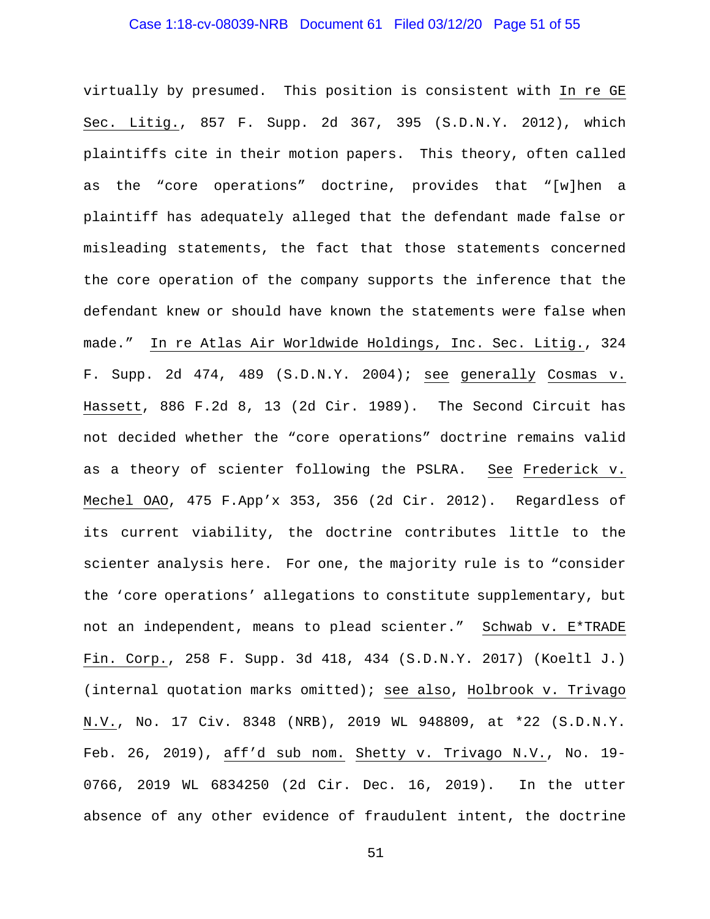## Case 1:18-cv-08039-NRB Document 61 Filed 03/12/20 Page 51 of 55

virtually by presumed. This position is consistent with In re GE Sec. Litig., 857 F. Supp. 2d 367, 395 (S.D.N.Y. 2012), which plaintiffs cite in their motion papers. This theory, often called as the "core operations" doctrine, provides that "[w]hen a plaintiff has adequately alleged that the defendant made false or misleading statements, the fact that those statements concerned the core operation of the company supports the inference that the defendant knew or should have known the statements were false when made." In re Atlas Air Worldwide Holdings, Inc. Sec. Litig., 324 F. Supp. 2d 474, 489 (S.D.N.Y. 2004); see generally Cosmas v. Hassett, 886 F.2d 8, 13 (2d Cir. 1989). The Second Circuit has not decided whether the "core operations" doctrine remains valid as a theory of scienter following the PSLRA. See Frederick v. Mechel OAO, 475 F.App'x 353, 356 (2d Cir. 2012). Regardless of its current viability, the doctrine contributes little to the scienter analysis here. For one, the majority rule is to "consider the 'core operations' allegations to constitute supplementary, but not an independent, means to plead scienter." Schwab v. E\*TRADE Fin. Corp., 258 F. Supp. 3d 418, 434 (S.D.N.Y. 2017) (Koeltl J.) (internal quotation marks omitted); see also, Holbrook v. Trivago N.V., No. 17 Civ. 8348 (NRB), 2019 WL 948809, at \*22 (S.D.N.Y. Feb. 26, 2019), aff'd sub nom. Shetty v. Trivago N.V., No. 19- 0766, 2019 WL 6834250 (2d Cir. Dec. 16, 2019). In the utter absence of any other evidence of fraudulent intent, the doctrine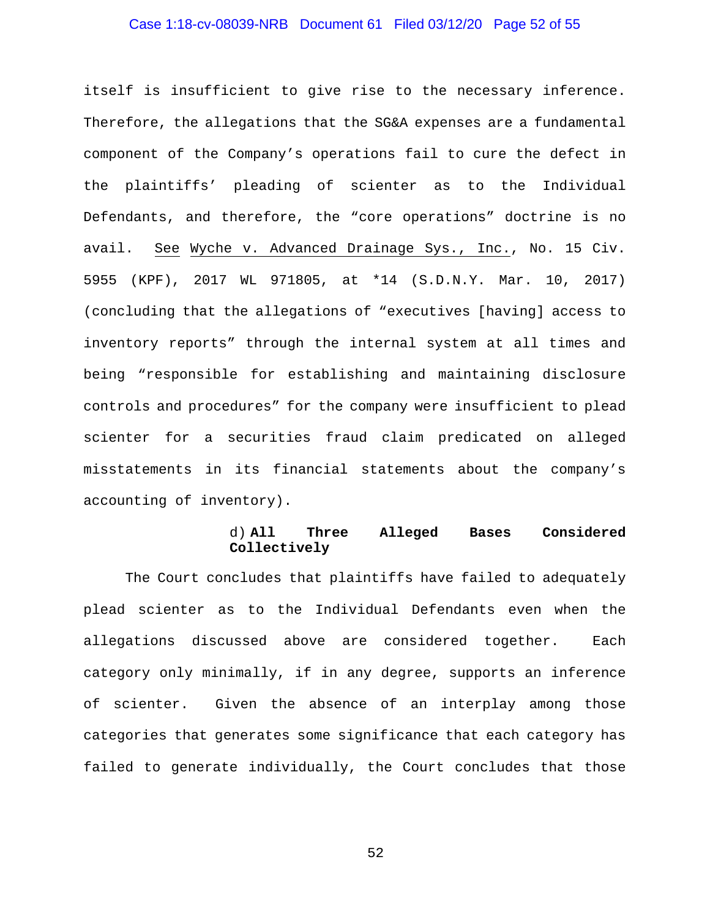## Case 1:18-cv-08039-NRB Document 61 Filed 03/12/20 Page 52 of 55

itself is insufficient to give rise to the necessary inference. Therefore, the allegations that the SG&A expenses are a fundamental component of the Company's operations fail to cure the defect in the plaintiffs' pleading of scienter as to the Individual Defendants, and therefore, the "core operations" doctrine is no avail. See Wyche v. Advanced Drainage Sys., Inc., No. 15 Civ. 5955 (KPF), 2017 WL 971805, at \*14 (S.D.N.Y. Mar. 10, 2017) (concluding that the allegations of "executives [having] access to inventory reports" through the internal system at all times and being "responsible for establishing and maintaining disclosure controls and procedures" for the company were insufficient to plead scienter for a securities fraud claim predicated on alleged misstatements in its financial statements about the company's accounting of inventory).

#### d) **All Three Alleged Bases Considered Collectively**

The Court concludes that plaintiffs have failed to adequately plead scienter as to the Individual Defendants even when the allegations discussed above are considered together. Each category only minimally, if in any degree, supports an inference of scienter. Given the absence of an interplay among those categories that generates some significance that each category has failed to generate individually, the Court concludes that those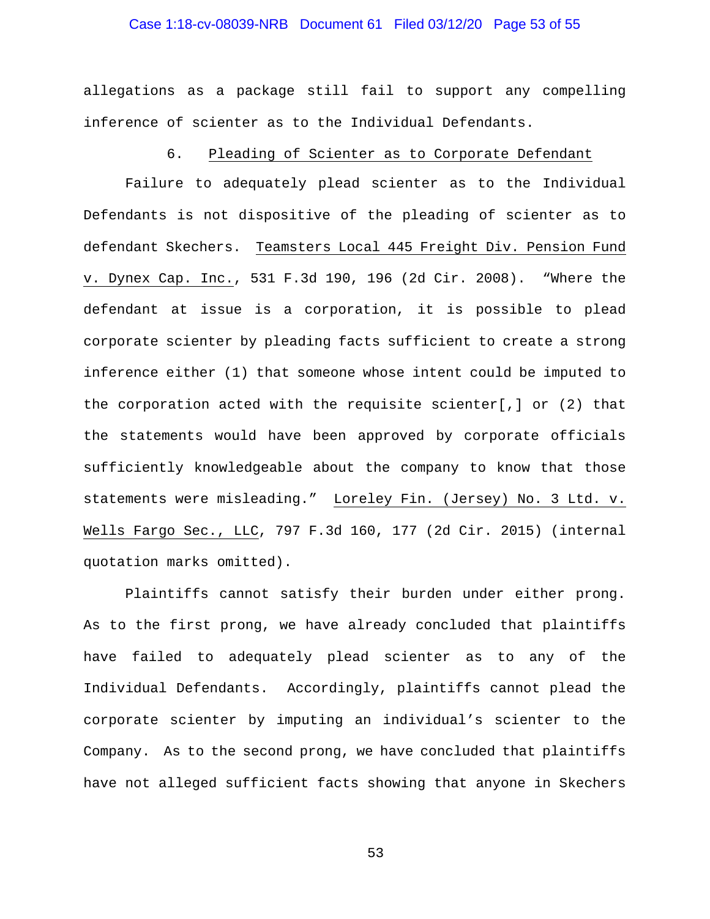# Case 1:18-cv-08039-NRB Document 61 Filed 03/12/20 Page 53 of 55

allegations as a package still fail to support any compelling inference of scienter as to the Individual Defendants.

## 6. Pleading of Scienter as to Corporate Defendant

Failure to adequately plead scienter as to the Individual Defendants is not dispositive of the pleading of scienter as to defendant Skechers. Teamsters Local 445 Freight Div. Pension Fund v. Dynex Cap. Inc., 531 F.3d 190, 196 (2d Cir. 2008). "Where the defendant at issue is a corporation, it is possible to plead corporate scienter by pleading facts sufficient to create a strong inference either (1) that someone whose intent could be imputed to the corporation acted with the requisite scienter[,] or (2) that the statements would have been approved by corporate officials sufficiently knowledgeable about the company to know that those statements were misleading." Loreley Fin. (Jersey) No. 3 Ltd. v. Wells Fargo Sec., LLC, 797 F.3d 160, 177 (2d Cir. 2015) (internal quotation marks omitted).

Plaintiffs cannot satisfy their burden under either prong. As to the first prong, we have already concluded that plaintiffs have failed to adequately plead scienter as to any of the Individual Defendants. Accordingly, plaintiffs cannot plead the corporate scienter by imputing an individual's scienter to the Company. As to the second prong, we have concluded that plaintiffs have not alleged sufficient facts showing that anyone in Skechers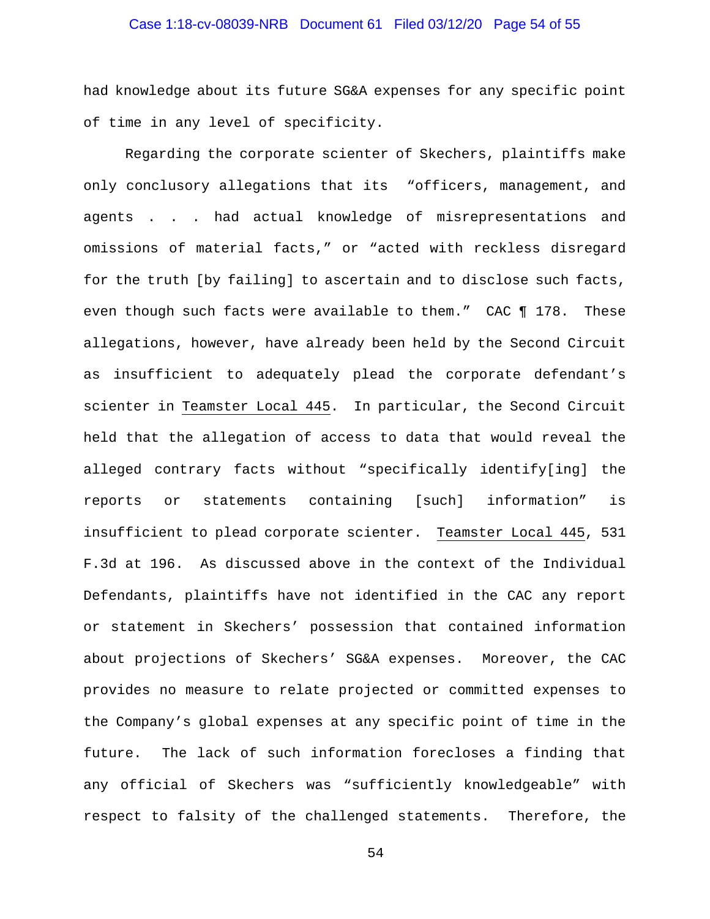## Case 1:18-cv-08039-NRB Document 61 Filed 03/12/20 Page 54 of 55

had knowledge about its future SG&A expenses for any specific point of time in any level of specificity.

Regarding the corporate scienter of Skechers, plaintiffs make only conclusory allegations that its "officers, management, and agents . . . had actual knowledge of misrepresentations and omissions of material facts," or "acted with reckless disregard for the truth [by failing] to ascertain and to disclose such facts, even though such facts were available to them." CAC ¶ 178. These allegations, however, have already been held by the Second Circuit as insufficient to adequately plead the corporate defendant's scienter in Teamster Local 445. In particular, the Second Circuit held that the allegation of access to data that would reveal the alleged contrary facts without "specifically identify[ing] the reports or statements containing [such] information" is insufficient to plead corporate scienter. Teamster Local 445, 531 F.3d at 196. As discussed above in the context of the Individual Defendants, plaintiffs have not identified in the CAC any report or statement in Skechers' possession that contained information about projections of Skechers' SG&A expenses. Moreover, the CAC provides no measure to relate projected or committed expenses to the Company's global expenses at any specific point of time in the future. The lack of such information forecloses a finding that any official of Skechers was "sufficiently knowledgeable" with respect to falsity of the challenged statements. Therefore, the